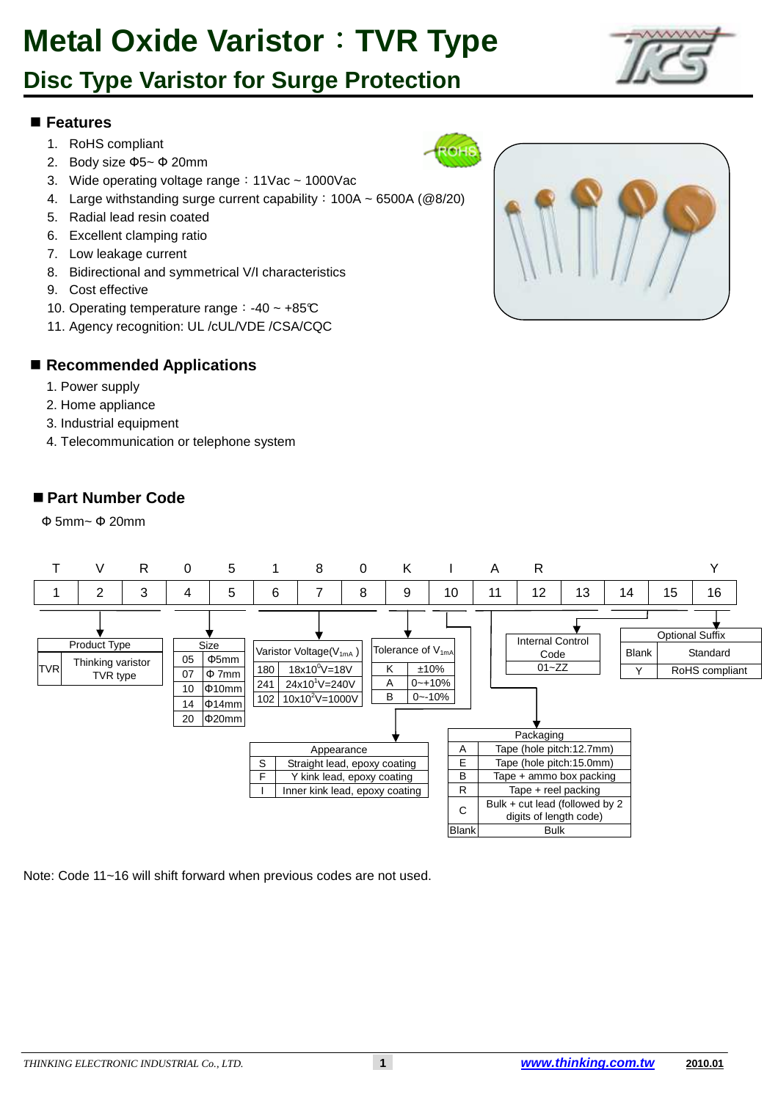### **Disc Type Varistor for Surge Protection**

#### **Features**

- 1. RoHS compliant
- 2. Body size Ф5~ Ф 20mm
- 3. Wide operating voltage range: 11Vac ~ 1000Vac
- 4. Large withstanding surge current capability: 100A ~ 6500A (@8/20)
- 5. Radial lead resin coated
- 6. Excellent clamping ratio
- 7. Low leakage current
- 8. Bidirectional and symmetrical V/I characteristics
- 9. Cost effective
- 10. Operating temperature range: -40 ~ +85°C
- 11. Agency recognition: UL /cUL/VDE /CSA/CQC

#### ■ Recommended Applications

- 1. Power supply
- 2. Home appliance
- 3. Industrial equipment
- 4. Telecommunication or telephone system

### **Part Number Code**

Ф 5mm~ Ф 20mm





Note: Code 11~16 will shift forward when previous codes are not used.



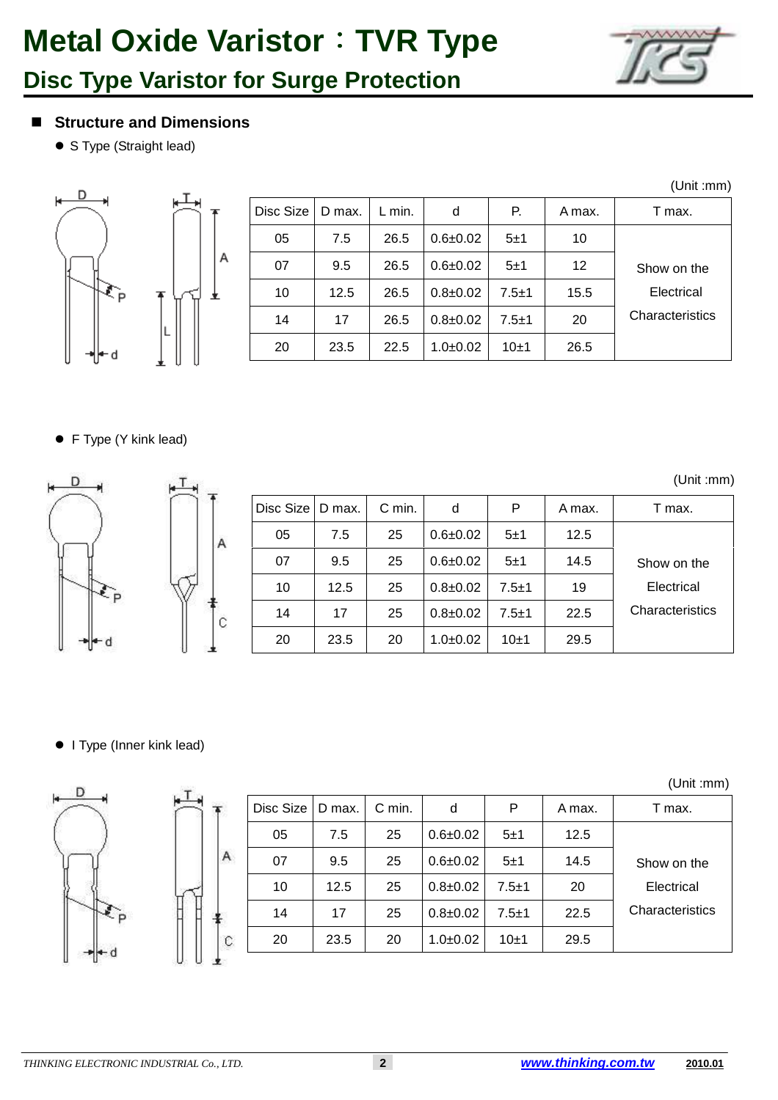

### **Disc Type Varistor for Surge Protection**

A

#### **Structure and Dimensions**

• S Type (Straight lead)

| P |  |
|---|--|
| d |  |

|           |        |        |              |           |        | (Unit : mm)     |
|-----------|--------|--------|--------------|-----------|--------|-----------------|
| Disc Size | D max. | L min. | d            | Р.        | A max. | T max.          |
| 05        | 7.5    | 26.5   | $0.6 + 0.02$ | 5±1       | 10     |                 |
| 07        | 9.5    | 26.5   | $0.6 + 0.02$ | 5±1       | 12     | Show on the     |
| 10        | 12.5   | 26.5   | $0.8 + 0.02$ | $7.5 + 1$ | 15.5   | Electrical      |
| 14        | 17     | 26.5   | $0.8 + 0.02$ | $7.5 + 1$ | 20     | Characteristics |
| 20        | 23.5   | 22.5   | $1.0 + 0.02$ | 10±1      | 26.5   |                 |

#### • F Type (Y kink lead)



|                    |      |        |                |           |        | (Unit : mm)     |
|--------------------|------|--------|----------------|-----------|--------|-----------------|
| Disc Size   D max. |      | C min. | d              | P         | A max. | T max.          |
| 05                 | 7.5  | 25     | $0.6 + 0.02$   | 5±1       | 12.5   |                 |
| 07                 | 9.5  | 25     | $0.6 \pm 0.02$ | 5±1       | 14.5   | Show on the     |
| 10                 | 12.5 | 25     | $0.8 + 0.02$   | $7.5 + 1$ | 19     | Electrical      |
| 14                 | 17   | 25     | $0.8 + 0.02$   | $7.5 + 1$ | 22.5   | Characteristics |
| 20                 | 23.5 | 20     | $1.0 + 0.02$   | 10±1      | 29.5   |                 |

#### **•** I Type (Inner kink lead)

|         |   |           |        |        |              |           |        | (Unit :mm)      |
|---------|---|-----------|--------|--------|--------------|-----------|--------|-----------------|
|         |   | Disc Size | D max. | C min. | d            | P         | A max. | T max.          |
|         |   | 05        | 7.5    | 25     | $0.6 + 0.02$ | 5±1       | 12.5   |                 |
|         | A | 07        | 9.5    | 25     | $0.6 + 0.02$ | 5±1       | 14.5   | Show on the     |
|         |   | 10        | 12.5   | 25     | $0.8 + 0.02$ | $7.5 + 1$ | 20     | Electrical      |
|         |   | 14        | 17     | 25     | $0.8 + 0.02$ | $7.5 + 1$ | 22.5   | Characteristics |
|         | C | 20        | 23.5   | 20     | $1.0 + 0.02$ | 10±1      | 29.5   |                 |
| $+ + d$ |   |           |        |        |              |           |        |                 |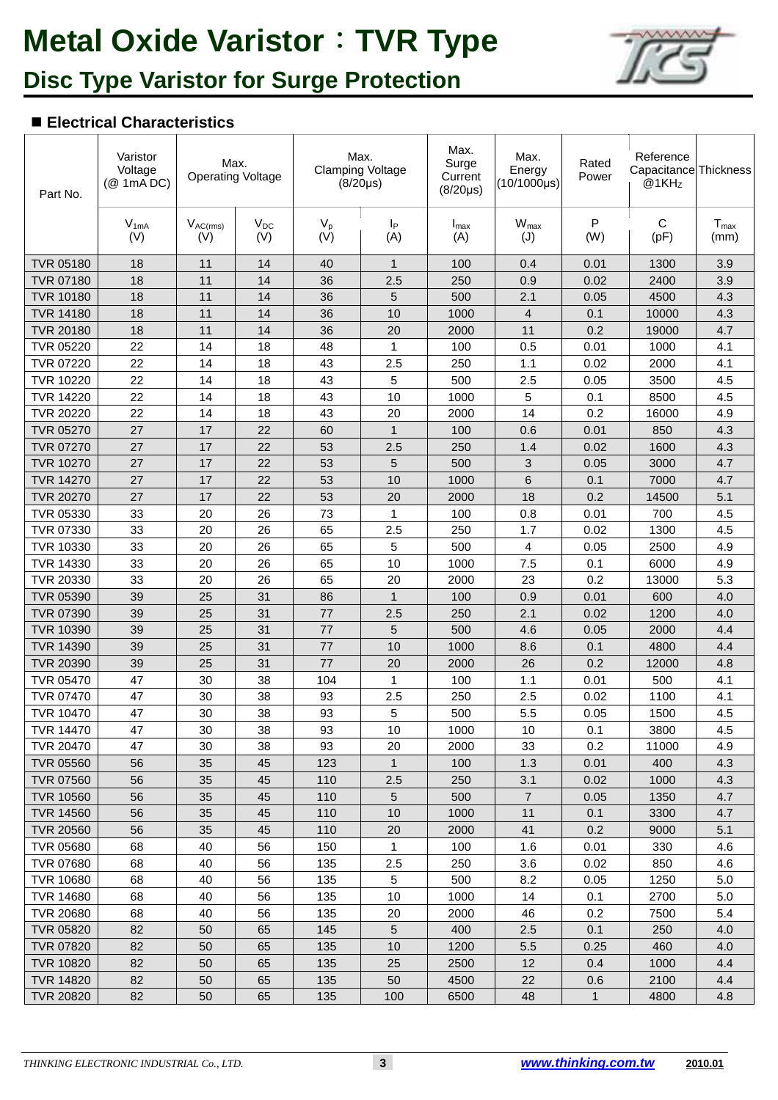

### **Disc Type Varistor for Surge Protection**

#### **Electrical Characteristics**

| Part No.                             | Varistor<br>Voltage<br>(@ 1mA DC) | Max.<br><b>Operating Voltage</b> |                 |              | Max.<br><b>Clamping Voltage</b><br>$(8/20\mu s)$ | Max.<br>Surge<br>Current<br>$(8/20\mu s)$ | Max.<br>Energy<br>$(10/1000 \mu s)$ | Rated<br>Power | Reference<br>Capacitance Thickness<br>@1 $KH_Z$ |                          |
|--------------------------------------|-----------------------------------|----------------------------------|-----------------|--------------|--------------------------------------------------|-------------------------------------------|-------------------------------------|----------------|-------------------------------------------------|--------------------------|
|                                      | $V_{1mA}$<br>(V)                  | $V_{AC(rms)}$<br>(V)             | $V_{DC}$<br>(V) | $V_p$<br>(V) | Iр<br>(A)                                        | $I_{\text{max}}$<br>(A)                   | $W_{\text{max}}$<br>(J)             | P<br>(W)       | C<br>(pF)                                       | $T_{\text{max}}$<br>(mm) |
| <b>TVR 05180</b>                     | 18                                | 11                               | 14              | 40           | $\mathbf{1}$                                     | 100                                       | 0.4                                 | 0.01           | 1300                                            | 3.9                      |
| <b>TVR 07180</b>                     | 18                                | 11                               | 14              | 36           | 2.5                                              | 250                                       | 0.9                                 | 0.02           | 2400                                            | 3.9                      |
| <b>TVR 10180</b>                     | 18                                | 11                               | 14              | 36           | 5                                                | 500                                       | 2.1                                 | 0.05           | 4500                                            | 4.3                      |
| <b>TVR 14180</b>                     | 18                                | 11                               | 14              | 36           | 10                                               | 1000                                      | $\overline{4}$                      | 0.1            | 10000                                           | 4.3                      |
| <b>TVR 20180</b>                     | 18                                | 11                               | 14              | 36           | 20                                               | 2000                                      | 11                                  | 0.2            | 19000                                           | 4.7                      |
| TVR 05220                            | 22                                | 14                               | 18              | 48           | 1                                                | 100                                       | 0.5                                 | 0.01           | 1000                                            | 4.1                      |
| <b>TVR 07220</b>                     | 22                                | 14                               | 18              | 43           | 2.5                                              | 250                                       | 1.1                                 | 0.02           | 2000                                            | 4.1                      |
| <b>TVR 10220</b>                     | 22                                | 14                               | 18              | 43           | 5                                                | 500                                       | 2.5                                 | 0.05           | 3500                                            | 4.5                      |
| <b>TVR 14220</b>                     | 22                                | 14                               | 18              | 43           | 10                                               | 1000                                      | 5                                   | 0.1            | 8500                                            | 4.5                      |
| <b>TVR 20220</b>                     | 22                                | 14                               | 18              | 43           | 20                                               | 2000                                      | 14                                  | 0.2            | 16000                                           | 4.9                      |
| <b>TVR 05270</b>                     | 27                                | 17                               | 22              | 60           | $\mathbf{1}$                                     | 100                                       | 0.6                                 | 0.01           | 850                                             | 4.3                      |
| TVR 07270                            | 27                                | 17                               | 22              | 53           | 2.5                                              | 250                                       | 1.4                                 | 0.02           | 1600                                            | 4.3                      |
| <b>TVR 10270</b>                     | 27                                | 17                               | 22              | 53           | 5                                                | 500                                       | 3                                   | 0.05           | 3000                                            | 4.7                      |
| <b>TVR 14270</b>                     | 27                                | 17                               | 22              | 53           | 10                                               | 1000                                      | 6                                   | 0.1            | 7000                                            | 4.7                      |
| <b>TVR 20270</b>                     | 27                                | 17                               | 22              | 53           | 20                                               | 2000                                      | 18                                  | 0.2            | 14500                                           | 5.1                      |
| TVR 05330                            | 33                                | 20                               | 26              | 73           | 1                                                | 100                                       | 0.8                                 | 0.01           | 700                                             | 4.5                      |
| TVR 07330                            | 33                                | 20                               | 26              | 65           | 2.5                                              | 250                                       | 1.7                                 | 0.02           | 1300                                            | 4.5                      |
| <b>TVR 10330</b>                     | 33                                | 20                               | 26              | 65           | 5                                                | 500                                       | 4                                   | 0.05           | 2500                                            | 4.9                      |
| <b>TVR 14330</b>                     | 33                                | 20                               | 26              | 65           | 10                                               | 1000                                      | 7.5                                 | 0.1            | 6000                                            | 4.9                      |
| TVR 20330                            | 33                                | 20                               | 26              | 65           | 20                                               | 2000                                      | 23                                  | 0.2            | 13000                                           | 5.3                      |
| TVR 05390                            | 39                                | 25                               | 31              | 86           | $\mathbf{1}$                                     | 100                                       | 0.9                                 | 0.01           | 600                                             | 4.0                      |
| <b>TVR 07390</b>                     | 39                                | 25                               | 31              | 77           | 2.5                                              | 250                                       | 2.1                                 | 0.02           | 1200                                            | 4.0                      |
| <b>TVR 10390</b><br><b>TVR 14390</b> | 39<br>39                          | 25<br>25                         | 31<br>31        | 77<br>77     | 5<br>10                                          | 500                                       | 4.6                                 | 0.05           | 2000                                            | 4.4                      |
| <b>TVR 20390</b>                     | 39                                | 25                               | 31              | 77           | 20                                               | 1000<br>2000                              | 8.6<br>26                           | 0.1<br>0.2     | 4800<br>12000                                   | 4.4<br>4.8               |
| <b>TVR 05470</b>                     | 47                                | 30                               | 38              | 104          | 1                                                | 100                                       | 1.1                                 | 0.01           | 500                                             | 4.1                      |
| <b>TVR 07470</b>                     | 47                                | 30                               | 38              | 93           | 2.5                                              | 250                                       | 2.5                                 | 0.02           | 1100                                            | 4.1                      |
| <b>TVR 10470</b>                     | 47                                | 30                               | 38              | 93           | 5                                                | 500                                       | 5.5                                 | 0.05           | 1500                                            | 4.5                      |
| <b>TVR 14470</b>                     | 47                                | 30                               | 38              | 93           | 10                                               | 1000                                      | 10                                  | 0.1            | 3800                                            | 4.5                      |
| <b>TVR 20470</b>                     | 47                                | 30                               | 38              | 93           | 20                                               | 2000                                      | 33                                  | 0.2            | 11000                                           | 4.9                      |
| <b>TVR 05560</b>                     | 56                                | 35                               | 45              | 123          | $\mathbf{1}$                                     | 100                                       | 1.3                                 | 0.01           | 400                                             | 4.3                      |
| <b>TVR 07560</b>                     | 56                                | 35                               | 45              | 110          | 2.5                                              | 250                                       | 3.1                                 | 0.02           | 1000                                            | 4.3                      |
| <b>TVR 10560</b>                     | 56                                | 35                               | 45              | 110          | 5                                                | 500                                       | $\overline{7}$                      | 0.05           | 1350                                            | 4.7                      |
| <b>TVR 14560</b>                     | 56                                | 35                               | 45              | 110          | 10                                               | 1000                                      | 11                                  | 0.1            | 3300                                            | 4.7                      |
| <b>TVR 20560</b>                     | 56                                | 35                               | 45              | 110          | 20                                               | 2000                                      | 41                                  | 0.2            | 9000                                            | 5.1                      |
| <b>TVR 05680</b>                     | 68                                | 40                               | 56              | 150          | $\mathbf{1}$                                     | 100                                       | 1.6                                 | 0.01           | 330                                             | 4.6                      |
| <b>TVR 07680</b>                     | 68                                | 40                               | 56              | 135          | 2.5                                              | 250                                       | 3.6                                 | 0.02           | 850                                             | 4.6                      |
| <b>TVR 10680</b>                     | 68                                | 40                               | 56              | 135          | 5                                                | 500                                       | 8.2                                 | 0.05           | 1250                                            | 5.0                      |
| <b>TVR 14680</b>                     | 68                                | 40                               | 56              | 135          | 10                                               | 1000                                      | 14                                  | 0.1            | 2700                                            | 5.0                      |
| <b>TVR 20680</b>                     | 68                                | 40                               | 56              | 135          | 20                                               | 2000                                      | 46                                  | 0.2            | 7500                                            | 5.4                      |
| <b>TVR 05820</b>                     | 82                                | 50                               | 65              | 145          | $\sqrt{5}$                                       | 400                                       | 2.5                                 | 0.1            | 250                                             | 4.0                      |
| <b>TVR 07820</b>                     | 82                                | 50                               | 65              | 135          | 10                                               | 1200                                      | 5.5                                 | 0.25           | 460                                             | 4.0                      |
| <b>TVR 10820</b>                     | 82                                | 50                               | 65              | 135          | 25                                               | 2500                                      | 12                                  | 0.4            | 1000                                            | 4.4                      |
| <b>TVR 14820</b>                     | 82                                | 50                               | 65              | 135          | 50                                               | 4500                                      | 22                                  | 0.6            | 2100                                            | 4.4                      |
| <b>TVR 20820</b>                     | 82                                | 50                               | 65              | 135          | 100                                              | 6500                                      | 48                                  | $\mathbf{1}$   | 4800                                            | 4.8                      |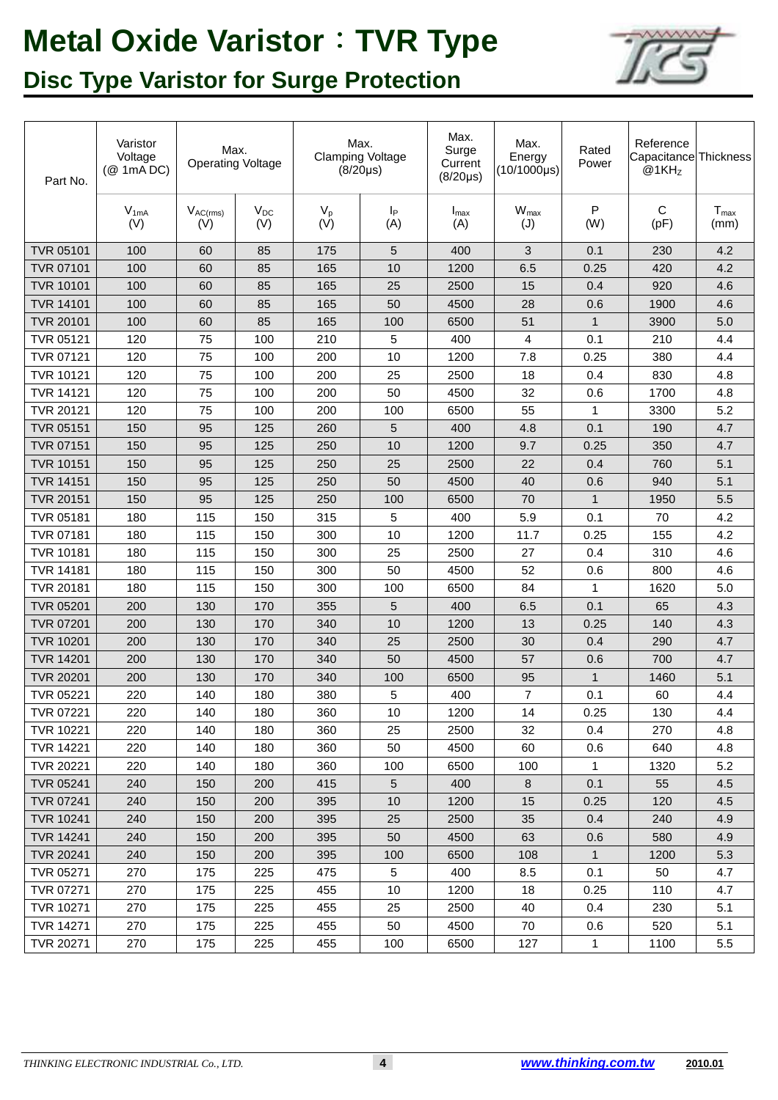

| Part No.         | Varistor<br>Voltage<br>(@ 1mA DC) | Max.<br><b>Operating Voltage</b> |                 |              | Max.<br><b>Clamping Voltage</b><br>$(8/20 \mu s)$ | Max.<br>Surge<br>Current<br>$(8/20\mu s)$ | Max.<br>Energy<br>$(10/1000\mu s)$ | Rated<br>Power | Reference<br>Capacitance Thickness<br>@1KH <sub>z</sub> |                          |
|------------------|-----------------------------------|----------------------------------|-----------------|--------------|---------------------------------------------------|-------------------------------------------|------------------------------------|----------------|---------------------------------------------------------|--------------------------|
|                  | $V_{1mA}$<br>(V)                  | $V_{AC(rms)}$<br>(V)             | $V_{DC}$<br>(V) | $V_p$<br>(V) | <b>I</b> P<br>(A)                                 | $I_{\text{max}}$<br>(A)                   | <b>W</b> <sub>max</sub><br>(J)     | P<br>(W)       | C<br>(pF)                                               | $T_{\text{max}}$<br>(mm) |
| <b>TVR 05101</b> | 100                               | 60                               | 85              | 175          | 5                                                 | 400                                       | 3                                  | 0.1            | 230                                                     | 4.2                      |
| <b>TVR 07101</b> | 100                               | 60                               | 85              | 165          | 10                                                | 1200                                      | 6.5                                | 0.25           | 420                                                     | 4.2                      |
| <b>TVR 10101</b> | 100                               | 60                               | 85              | 165          | 25                                                | 2500                                      | 15                                 | 0.4            | 920                                                     | 4.6                      |
| <b>TVR 14101</b> | 100                               | 60                               | 85              | 165          | 50                                                | 4500                                      | 28                                 | 0.6            | 1900                                                    | 4.6                      |
| <b>TVR 20101</b> | 100                               | 60                               | 85              | 165          | 100                                               | 6500                                      | 51                                 | $\mathbf{1}$   | 3900                                                    | 5.0                      |
| TVR 05121        | 120                               | 75                               | 100             | 210          | 5                                                 | 400                                       | 4                                  | 0.1            | 210                                                     | 4.4                      |
| <b>TVR 07121</b> | 120                               | 75                               | 100             | 200          | 10                                                | 1200                                      | 7.8                                | 0.25           | 380                                                     | 4.4                      |
| <b>TVR 10121</b> | 120                               | 75                               | 100             | 200          | 25                                                | 2500                                      | 18                                 | 0.4            | 830                                                     | 4.8                      |
| <b>TVR 14121</b> | 120                               | 75                               | 100             | 200          | 50                                                | 4500                                      | 32                                 | 0.6            | 1700                                                    | 4.8                      |
| <b>TVR 20121</b> | 120                               | 75                               | 100             | 200          | 100                                               | 6500                                      | 55                                 | 1              | 3300                                                    | 5.2                      |
| <b>TVR 05151</b> | 150                               | 95                               | 125             | 260          | 5                                                 | 400                                       | 4.8                                | 0.1            | 190                                                     | 4.7                      |
| <b>TVR 07151</b> | 150                               | 95                               | 125             | 250          | 10                                                | 1200                                      | 9.7                                | 0.25           | 350                                                     | 4.7                      |
| <b>TVR 10151</b> | 150                               | 95                               | 125             | 250          | 25                                                | 2500                                      | 22                                 | 0.4            | 760                                                     | 5.1                      |
| <b>TVR 14151</b> | 150                               | 95                               | 125             | 250          | 50                                                | 4500                                      | 40                                 | 0.6            | 940                                                     | 5.1                      |
| <b>TVR 20151</b> | 150                               | 95                               | 125             | 250          | 100                                               | 6500                                      | 70                                 | $\mathbf{1}$   | 1950                                                    | 5.5                      |
| TVR 05181        | 180                               | 115                              | 150             | 315          | 5                                                 | 400                                       | 5.9                                | 0.1            | 70                                                      | 4.2                      |
| <b>TVR 07181</b> | 180                               | 115                              | 150             | 300          | 10                                                | 1200                                      | 11.7                               | 0.25           | 155                                                     | 4.2                      |
| <b>TVR 10181</b> | 180                               | 115                              | 150             | 300          | 25                                                | 2500                                      | 27                                 | 0.4            | 310                                                     | 4.6                      |
| <b>TVR 14181</b> | 180                               | 115                              | 150             | 300          | 50                                                | 4500                                      | 52                                 | 0.6            | 800                                                     | 4.6                      |
| <b>TVR 20181</b> | 180                               | 115                              | 150             | 300          | 100                                               | 6500                                      | 84                                 | 1              | 1620                                                    | 5.0                      |
| <b>TVR 05201</b> | 200                               | 130                              | 170             | 355          | 5                                                 | 400                                       | 6.5                                | 0.1            | 65                                                      | 4.3                      |
| <b>TVR 07201</b> | 200                               | 130                              | 170             | 340          | 10                                                | 1200                                      | 13                                 | 0.25           | 140                                                     | 4.3                      |
| <b>TVR 10201</b> | 200                               | 130                              | 170             | 340          | 25                                                | 2500                                      | 30                                 | 0.4            | 290                                                     | 4.7                      |
| <b>TVR 14201</b> | 200                               | 130                              | 170             | 340          | 50                                                | 4500                                      | 57                                 | 0.6            | 700                                                     | 4.7                      |
| <b>TVR 20201</b> | 200                               | 130                              | 170             | 340          | 100                                               | 6500                                      | 95                                 | $\mathbf{1}$   | 1460                                                    | 5.1                      |
| TVR 05221        | 220                               | 140                              | 180             | 380          | 5                                                 | 400                                       | $\overline{7}$                     | 0.1            | 60                                                      | 4.4                      |
| TVR 07221        | 220                               | 140                              | 180             | 360          | 10                                                | 1200                                      | 14                                 | 0.25           | 130                                                     | 4.4                      |
| <b>TVR 10221</b> | 220                               | 140                              | 180             | 360          | 25                                                | 2500                                      | 32                                 | 0.4            | 270                                                     | 4.8                      |
| <b>TVR 14221</b> | 220                               | 140                              | 180             | 360          | 50                                                | 4500                                      | 60                                 | 0.6            | 640                                                     | 4.8                      |
| <b>TVR 20221</b> | 220                               | 140                              | 180             | 360          | 100                                               | 6500                                      | 100                                | $\mathbf{1}$   | 1320                                                    | 5.2                      |
| TVR 05241        | 240                               | 150                              | 200             | 415          | 5                                                 | 400                                       | 8                                  | 0.1            | 55                                                      | 4.5                      |
| <b>TVR 07241</b> | 240                               | 150                              | 200             | 395          | 10 <sup>1</sup>                                   | 1200                                      | 15                                 | 0.25           | 120                                                     | 4.5                      |
| <b>TVR 10241</b> | 240                               | 150                              | 200             | 395          | 25                                                | 2500                                      | 35                                 | $0.4^{\circ}$  | 240                                                     | 4.9                      |
| <b>TVR 14241</b> | 240                               | 150                              | 200             | 395          | 50                                                | 4500                                      | 63                                 | 0.6            | 580                                                     | 4.9                      |
| <b>TVR 20241</b> | 240                               | 150                              | 200             | 395          | 100                                               | 6500                                      | 108                                | $\mathbf{1}$   | 1200                                                    | 5.3                      |
| TVR 05271        | 270                               | 175                              | 225             | 475          | 5                                                 | 400                                       | 8.5                                | 0.1            | 50                                                      | 4.7                      |
| TVR 07271        | 270                               | 175                              | 225             | 455          | 10                                                | 1200                                      | 18                                 | 0.25           | 110                                                     | 4.7                      |
| <b>TVR 10271</b> | 270                               | 175                              | 225             | 455          | 25                                                | 2500                                      | 40                                 | 0.4            | 230                                                     | 5.1                      |
| <b>TVR 14271</b> | 270                               | 175                              | 225             | 455          | 50                                                | 4500                                      | 70                                 | 0.6            | 520                                                     | 5.1                      |
| TVR 20271        | 270                               | 175                              | 225             | 455          | 100                                               | 6500                                      | 127                                | $\mathbf{1}$   | 1100                                                    | 5.5                      |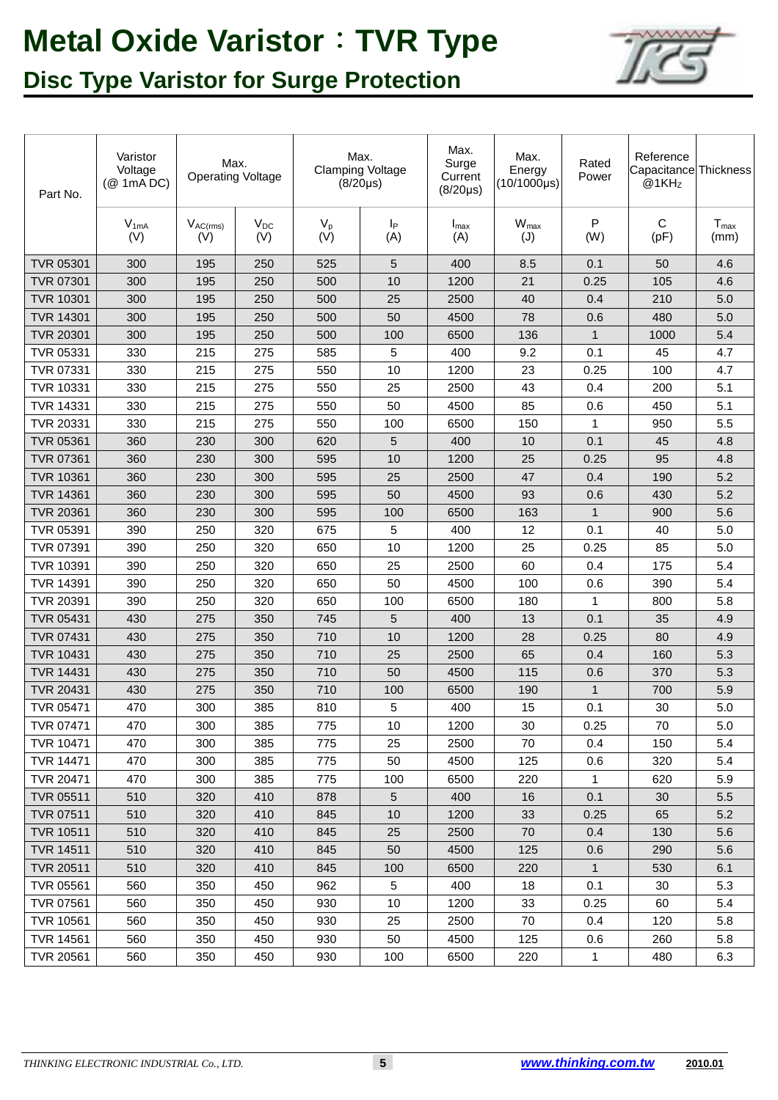

| Part No.         | Varistor<br>Voltage<br>(@ 1mA DC) | Max.<br><b>Operating Voltage</b> |                 |              | Max.<br><b>Clamping Voltage</b><br>$(8/20\mu s)$ | Max.<br>Surge<br>Current<br>$(8/20 \mu s)$ | Max.<br>Energy<br>$(10/1000\mu s)$ | Rated<br>Power | Reference<br>Capacitance Thickness<br>@1KH <sub>z</sub> |                          |
|------------------|-----------------------------------|----------------------------------|-----------------|--------------|--------------------------------------------------|--------------------------------------------|------------------------------------|----------------|---------------------------------------------------------|--------------------------|
|                  | $V_{1mA}$<br>(V)                  | $V_{AC(rms)}$<br>(V)             | $V_{DC}$<br>(V) | $V_p$<br>(V) | $ _{\mathsf{P}}$<br>(A)                          | $I_{\text{max}}$<br>(A)                    | $W_{\text{max}}$<br>(J)            | P<br>(W)       | C<br>(pF)                                               | $T_{\text{max}}$<br>(mm) |
| TVR 05301        | 300                               | 195                              | 250             | 525          | 5                                                | 400                                        | 8.5                                | 0.1            | 50                                                      | 4.6                      |
| <b>TVR 07301</b> | 300                               | 195                              | 250             | 500          | 10                                               | 1200                                       | 21                                 | 0.25           | 105                                                     | 4.6                      |
| <b>TVR 10301</b> | 300                               | 195                              | 250             | 500          | 25                                               | 2500                                       | 40                                 | 0.4            | 210                                                     | 5.0                      |
| <b>TVR 14301</b> | 300                               | 195                              | 250             | 500          | 50                                               | 4500                                       | 78                                 | 0.6            | 480                                                     | 5.0                      |
| <b>TVR 20301</b> | 300                               | 195                              | 250             | 500          | 100                                              | 6500                                       | 136                                | $\mathbf 1$    | 1000                                                    | 5.4                      |
| TVR 05331        | 330                               | 215                              | 275             | 585          | 5                                                | 400                                        | 9.2                                | 0.1            | 45                                                      | 4.7                      |
| TVR 07331        | 330                               | 215                              | 275             | 550          | 10                                               | 1200                                       | 23                                 | 0.25           | 100                                                     | 4.7                      |
| <b>TVR 10331</b> | 330                               | 215                              | 275             | 550          | 25                                               | 2500                                       | 43                                 | 0.4            | 200                                                     | 5.1                      |
| <b>TVR 14331</b> | 330                               | 215                              | 275             | 550          | 50                                               | 4500                                       | 85                                 | 0.6            | 450                                                     | 5.1                      |
| TVR 20331        | 330                               | 215                              | 275             | 550          | 100                                              | 6500                                       | 150                                | $\mathbf{1}$   | 950                                                     | 5.5                      |
| <b>TVR 05361</b> | 360                               | 230                              | 300             | 620          | 5                                                | 400                                        | 10                                 | 0.1            | 45                                                      | 4.8                      |
| <b>TVR 07361</b> | 360                               | 230                              | 300             | 595          | 10                                               | 1200                                       | 25                                 | 0.25           | 95                                                      | 4.8                      |
| <b>TVR 10361</b> | 360                               | 230                              | 300             | 595          | 25                                               | 2500                                       | 47                                 | 0.4            | 190                                                     | 5.2                      |
| <b>TVR 14361</b> | 360                               | 230                              | 300             | 595          | 50                                               | 4500                                       | 93                                 | 0.6            | 430                                                     | 5.2                      |
| <b>TVR 20361</b> | 360                               | 230                              | 300             | 595          | 100                                              | 6500                                       | 163                                | $\mathbf{1}$   | 900                                                     | 5.6                      |
| TVR 05391        | 390                               | 250                              | 320             | 675          | 5                                                | 400                                        | 12                                 | 0.1            | 40                                                      | 5.0                      |
| TVR 07391        | 390                               | 250                              | 320             | 650          | 10                                               | 1200                                       | 25                                 | 0.25           | 85                                                      | 5.0                      |
| <b>TVR 10391</b> | 390                               | 250                              | 320             | 650          | 25                                               | 2500                                       | 60                                 | 0.4            | 175                                                     | 5.4                      |
| <b>TVR 14391</b> | 390                               | 250                              | 320             | 650          | 50                                               | 4500                                       | 100                                | 0.6            | 390                                                     | 5.4                      |
| <b>TVR 20391</b> | 390                               | 250                              | 320             | 650          | 100                                              | 6500                                       | 180                                | 1              | 800                                                     | 5.8                      |
| <b>TVR 05431</b> | 430                               | 275                              | 350             | 745          | 5                                                | 400                                        | 13                                 | 0.1            | 35                                                      | 4.9                      |
| <b>TVR 07431</b> | 430                               | 275                              | 350             | 710          | 10                                               | 1200                                       | 28                                 | 0.25           | 80                                                      | 4.9                      |
| <b>TVR 10431</b> | 430                               | 275                              | 350             | 710          | 25                                               | 2500                                       | 65                                 | 0.4            | 160                                                     | 5.3                      |
| <b>TVR 14431</b> | 430                               | 275                              | 350             | 710          | 50                                               | 4500                                       | 115                                | 0.6            | 370                                                     | 5.3                      |
| <b>TVR 20431</b> | 430                               | 275                              | 350             | 710          | 100                                              | 6500                                       | 190                                | $\mathbf{1}$   | 700                                                     | 5.9                      |
| TVR 05471        | 470                               | 300                              | 385             | 810          | 5                                                | 400                                        | 15                                 | 0.1            | 30                                                      | 5.0                      |
| TVR 07471        | 470                               | 300                              | 385             | 775          | 10                                               | 1200                                       | 30                                 | 0.25           | 70                                                      | 5.0                      |
| <b>TVR 10471</b> | 470                               | 300                              | 385             | 775          | 25                                               | 2500                                       | 70                                 | 0.4            | 150                                                     | 5.4                      |
| <b>TVR 14471</b> | 470                               | 300                              | 385             | 775          | 50                                               | 4500                                       | 125                                | 0.6            | 320                                                     | 5.4                      |
| TVR 20471        | 470                               | 300                              | 385             | 775          | 100                                              | 6500                                       | 220                                | $\mathbf{1}$   | 620                                                     | 5.9                      |
| TVR 05511        | 510                               | 320                              | 410             | 878          | $5\phantom{.0}$                                  | 400                                        | 16                                 | 0.1            | 30                                                      | 5.5                      |
| <b>TVR 07511</b> | 510                               | 320                              | 410             | 845          | 10                                               | 1200                                       | 33                                 | 0.25           | 65                                                      | 5.2                      |
| <b>TVR 10511</b> | 510                               | 320                              | 410             | 845          | 25                                               | 2500                                       | 70                                 | 0.4            | 130                                                     | 5.6                      |
| <b>TVR 14511</b> | 510                               | 320                              | 410             | 845          | 50                                               | 4500                                       | 125                                | 0.6            | 290                                                     | 5.6                      |
| <b>TVR 20511</b> | 510                               | 320                              | 410             | 845          | 100                                              | 6500                                       | 220                                | $\mathbf{1}$   | 530                                                     | 6.1                      |
| TVR 05561        | 560                               | 350                              | 450             | 962          | 5                                                | 400                                        | 18                                 | 0.1            | 30                                                      | 5.3                      |
| TVR 07561        | 560                               | 350                              | 450             | 930          | 10                                               | 1200                                       | 33                                 | 0.25           | 60                                                      | 5.4                      |
| <b>TVR 10561</b> | 560                               | 350                              | 450             | 930          | 25                                               | 2500                                       | 70                                 | 0.4            | 120                                                     | 5.8                      |
| <b>TVR 14561</b> | 560                               | 350                              | 450             | 930          | 50                                               | 4500                                       | 125                                | 0.6            | 260                                                     | 5.8                      |
| <b>TVR 20561</b> | 560                               | 350                              | 450             | 930          | 100                                              | 6500                                       | 220                                | $\mathbf 1$    | 480                                                     | 6.3                      |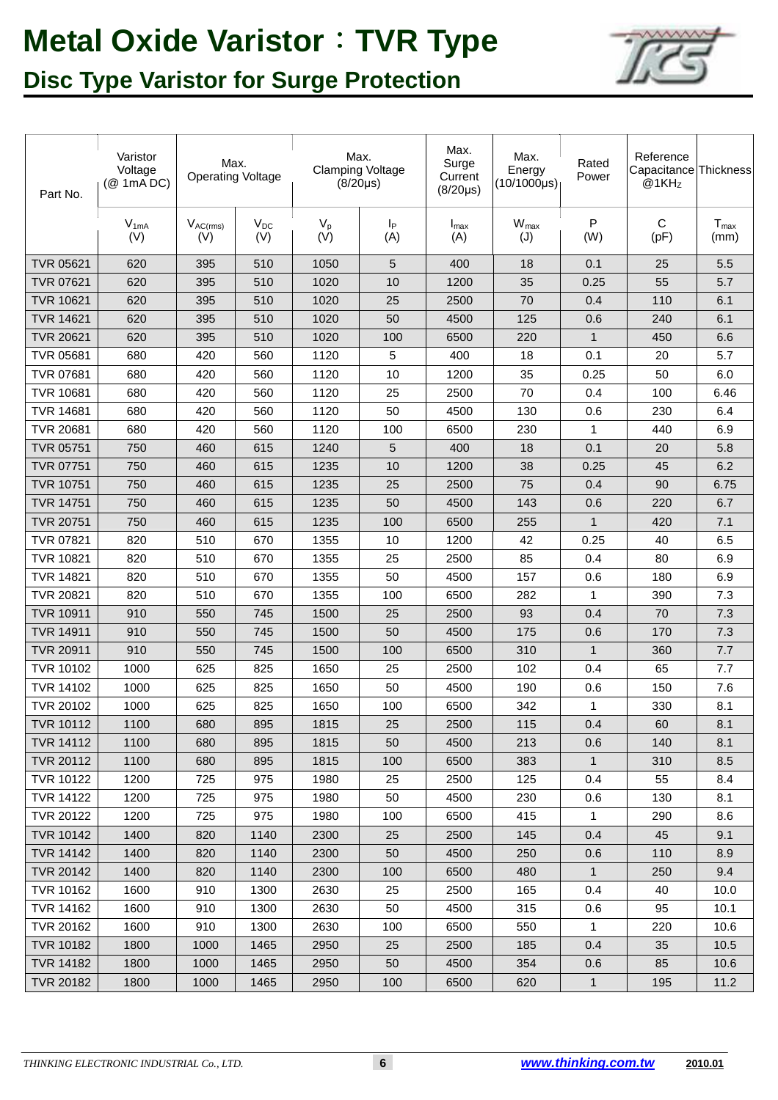

| Part No.         | Varistor<br>Voltage<br>(@ 1mA DC) | Max.<br><b>Operating Voltage</b> |                 |              | Max.<br><b>Clamping Voltage</b><br>$(8/20\mu s)$ | Max.<br>Surge<br>Current<br>$(8/20\mu s)$ | Max.<br>Energy<br>$(10/1000\mu s)$ | Rated<br>Power | Reference<br>Capacitance Thickness<br>@1KH <sub>Z</sub> |                          |
|------------------|-----------------------------------|----------------------------------|-----------------|--------------|--------------------------------------------------|-------------------------------------------|------------------------------------|----------------|---------------------------------------------------------|--------------------------|
|                  | $V_{1mA}$<br>(V)                  | $V_{AC(rms)}$<br>(V)             | $V_{DC}$<br>(V) | $V_p$<br>(V) | Iр<br>(A)                                        | $I_{\text{max}}$<br>(A)                   | $W_{\text{max}}$<br>(J)            | P<br>(W)       | C<br>(pF)                                               | $T_{\text{max}}$<br>(mm) |
| <b>TVR 05621</b> | 620                               | 395                              | 510             | 1050         | 5                                                | 400                                       | 18                                 | 0.1            | 25                                                      | 5.5                      |
| <b>TVR 07621</b> | 620                               | 395                              | 510             | 1020         | 10                                               | 1200                                      | 35                                 | 0.25           | 55                                                      | 5.7                      |
| <b>TVR 10621</b> | 620                               | 395                              | 510             | 1020         | 25                                               | 2500                                      | 70                                 | 0.4            | 110                                                     | 6.1                      |
| <b>TVR 14621</b> | 620                               | 395                              | 510             | 1020         | 50                                               | 4500                                      | 125                                | 0.6            | 240                                                     | 6.1                      |
| <b>TVR 20621</b> | 620                               | 395                              | 510             | 1020         | 100                                              | 6500                                      | 220                                | 1              | 450                                                     | 6.6                      |
| TVR 05681        | 680                               | 420                              | 560             | 1120         | 5                                                | 400                                       | 18                                 | 0.1            | 20                                                      | 5.7                      |
| <b>TVR 07681</b> | 680                               | 420                              | 560             | 1120         | 10                                               | 1200                                      | 35                                 | 0.25           | 50                                                      | 6.0                      |
| <b>TVR 10681</b> | 680                               | 420                              | 560             | 1120         | 25                                               | 2500                                      | 70                                 | 0.4            | 100                                                     | 6.46                     |
| <b>TVR 14681</b> | 680                               | 420                              | 560             | 1120         | 50                                               | 4500                                      | 130                                | 0.6            | 230                                                     | 6.4                      |
| <b>TVR 20681</b> | 680                               | 420                              | 560             | 1120         | 100                                              | 6500                                      | 230                                | 1              | 440                                                     | 6.9                      |
| <b>TVR 05751</b> | 750                               | 460                              | 615             | 1240         | 5                                                | 400                                       | 18                                 | 0.1            | 20                                                      | 5.8                      |
| <b>TVR 07751</b> | 750                               | 460                              | 615             | 1235         | 10                                               | 1200                                      | 38                                 | 0.25           | 45                                                      | 6.2                      |
| <b>TVR 10751</b> | 750                               | 460                              | 615             | 1235         | 25                                               | 2500                                      | 75                                 | 0.4            | 90                                                      | 6.75                     |
| <b>TVR 14751</b> | 750                               | 460                              | 615             | 1235         | 50                                               | 4500                                      | 143                                | 0.6            | 220                                                     | 6.7                      |
| <b>TVR 20751</b> | 750                               | 460                              | 615             | 1235         | 100                                              | 6500                                      | 255                                | $\mathbf{1}$   | 420                                                     | 7.1                      |
| <b>TVR 07821</b> | 820                               | 510                              | 670             | 1355         | 10                                               | 1200                                      | 42                                 | 0.25           | 40                                                      | 6.5                      |
| <b>TVR 10821</b> | 820                               | 510                              | 670             | 1355         | 25                                               | 2500                                      | 85                                 | 0.4            | 80                                                      | 6.9                      |
| <b>TVR 14821</b> | 820                               | 510                              | 670             | 1355         | 50                                               | 4500                                      | 157                                | 0.6            | 180                                                     | 6.9                      |
| <b>TVR 20821</b> | 820                               | 510                              | 670             | 1355         | 100                                              | 6500                                      | 282                                | 1              | 390                                                     | 7.3                      |
| <b>TVR 10911</b> | 910                               | 550                              | 745             | 1500         | 25                                               | 2500                                      | 93                                 | 0.4            | 70                                                      | 7.3                      |
| <b>TVR 14911</b> | 910                               | 550                              | 745             | 1500         | 50                                               | 4500                                      | 175                                | 0.6            | 170                                                     | 7.3                      |
| <b>TVR 20911</b> | 910                               | 550                              | 745             | 1500         | 100                                              | 6500                                      | 310                                | $\mathbf{1}$   | 360                                                     | 7.7                      |
| <b>TVR 10102</b> | 1000                              | 625                              | 825             | 1650         | 25                                               | 2500                                      | 102                                | 0.4            | 65                                                      | 7.7                      |
| <b>TVR 14102</b> | 1000                              | 625                              | 825             | 1650         | 50                                               | 4500                                      | 190                                | 0.6            | 150                                                     | 7.6                      |
| <b>TVR 20102</b> | 1000                              | 625                              | 825             | 1650         | 100                                              | 6500                                      | 342                                | 1              | 330                                                     | 8.1                      |
| <b>TVR 10112</b> | 1100                              | 680                              | 895             | 1815         | 25                                               | 2500                                      | 115                                | 0.4            | 60                                                      | 8.1                      |
| <b>TVR 14112</b> | 1100                              | 680                              | 895             | 1815         | 50                                               | 4500                                      | 213                                | 0.6            | 140                                                     | 8.1                      |
| <b>TVR 20112</b> | 1100                              | 680                              | 895             | 1815         | 100                                              | 6500                                      | 383                                | $\mathbf{1}$   | 310                                                     | 8.5                      |
| <b>TVR 10122</b> | 1200                              | 725                              | 975             | 1980         | 25                                               | 2500                                      | 125                                | 0.4            | 55                                                      | 8.4                      |
| <b>TVR 14122</b> | 1200                              | 725                              | 975             | 1980         | 50                                               | 4500                                      | 230                                | 0.6            | 130                                                     | 8.1                      |
| <b>TVR 20122</b> | 1200                              | 725                              | 975             | 1980         | 100                                              | 6500                                      | 415                                | $\mathbf{1}$   | 290                                                     | 8.6                      |
| <b>TVR 10142</b> | 1400                              | 820                              | 1140            | 2300         | 25                                               | 2500                                      | 145                                | 0.4            | 45                                                      | 9.1                      |
| <b>TVR 14142</b> | 1400                              | 820                              | 1140            | 2300         | 50                                               | 4500                                      | 250                                | 0.6            | 110                                                     | 8.9                      |
| <b>TVR 20142</b> | 1400                              | 820                              | 1140            | 2300         | 100                                              | 6500                                      | 480                                | $\mathbf{1}$   | 250                                                     | 9.4                      |
| <b>TVR 10162</b> | 1600                              | 910                              | 1300            | 2630         | 25                                               | 2500                                      | 165                                | 0.4            | 40                                                      | 10.0                     |
| <b>TVR 14162</b> | 1600                              | 910                              | 1300            | 2630         | 50                                               | 4500                                      | 315                                | 0.6            | 95                                                      | 10.1                     |
| <b>TVR 20162</b> | 1600                              | 910                              | 1300            | 2630         | 100                                              | 6500                                      | 550                                | $\mathbf{1}$   | 220                                                     | 10.6                     |
| <b>TVR 10182</b> | 1800                              | 1000                             | 1465            | 2950         | 25                                               | 2500                                      | 185                                | 0.4            | 35                                                      | 10.5                     |
| <b>TVR 14182</b> | 1800                              | 1000                             | 1465            | 2950         | 50                                               | 4500                                      | 354                                | 0.6            | 85                                                      | 10.6                     |
| <b>TVR 20182</b> | 1800                              | 1000                             | 1465            | 2950         | 100                                              | 6500                                      | 620                                | $\mathbf{1}$   | 195                                                     | 11.2                     |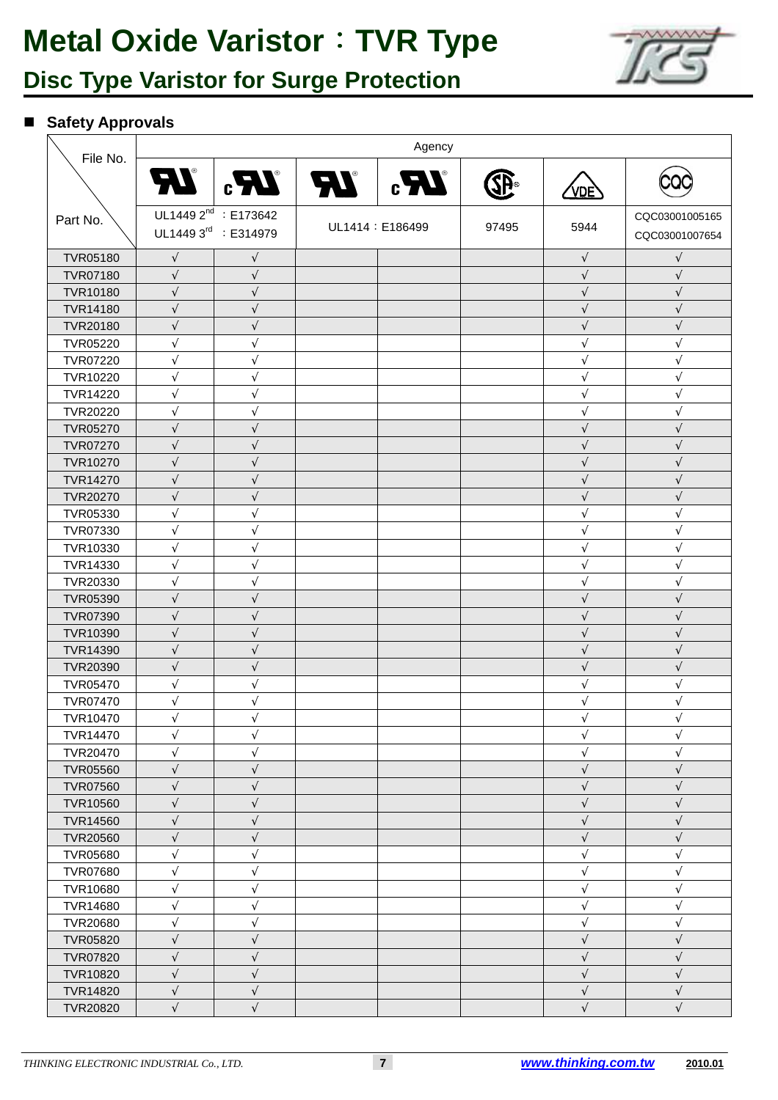

## **Disc Type Varistor for Surge Protection**

#### **Safety Approvals**

|                 |            |                                  |                      | Agency |           |             |                |
|-----------------|------------|----------------------------------|----------------------|--------|-----------|-------------|----------------|
| File No.        |            |                                  |                      |        |           |             |                |
|                 |            |                                  | $2\pi$ $2\pi$ $2\pi$ |        | <b>F.</b> | <u>(VDE</u> |                |
| Part No.        |            | UL1449 2 <sup>nd</sup> : E173642 |                      |        |           |             | CQC03001005165 |
|                 |            | UL1449 3rd : E314979             | UL1414 : E186499     |        | 97495     | 5944        | CQC03001007654 |
| <b>TVR05180</b> | $\sqrt{}$  | V                                |                      |        |           | $\sqrt{ }$  |                |
| TVR07180        | $\sqrt{ }$ | $\sqrt{ }$                       |                      |        |           | $\sqrt{ }$  |                |
| TVR10180        | $\sqrt{}$  | $\sqrt{}$                        |                      |        |           |             |                |
| <b>TVR14180</b> | $\sqrt{ }$ | $\sqrt{}$                        |                      |        |           | $\sqrt{ }$  |                |
| TVR20180        | $\sqrt{}$  | $\sqrt{}$                        |                      |        |           | $\sqrt{ }$  |                |
| TVR05220        | $\sqrt{}$  | $\sqrt{ }$                       |                      |        |           | $\sqrt{ }$  |                |
| <b>TVR07220</b> | $\sqrt{}$  | $\sqrt{ }$                       |                      |        |           | $\sqrt{ }$  |                |
| TVR10220        | $\sqrt{ }$ | $\sqrt{ }$                       |                      |        |           | $\sqrt{ }$  |                |
| TVR14220        | $\sqrt{}$  | $\sqrt{ }$                       |                      |        |           |             |                |
| TVR20220        | $\sqrt{}$  | $\sqrt{}$                        |                      |        |           | $\sqrt{ }$  |                |
| <b>TVR05270</b> | $\sqrt{}$  | $\sqrt{}$                        |                      |        |           | $\sqrt{ }$  |                |
| <b>TVR07270</b> | $\sqrt{}$  | $\sqrt{}$                        |                      |        |           | V           |                |
| <b>TVR10270</b> | $\sqrt{}$  | V                                |                      |        |           |             |                |
| TVR14270        | $\sqrt{}$  | $\sqrt{}$                        |                      |        |           | $\sqrt{ }$  |                |
| TVR20270        | $\sqrt{}$  | $\sqrt{}$                        |                      |        |           | $\sqrt{ }$  |                |
| TVR05330        | $\sqrt{}$  | $\sqrt{}$                        |                      |        |           | $\sqrt{ }$  |                |
| TVR07330        | $\sqrt{}$  | $\sqrt{}$                        |                      |        |           | $\sqrt{ }$  |                |
| TVR10330        | $\sqrt{}$  | V                                |                      |        |           | V           |                |
| TVR14330        | $\sqrt{}$  | $\sqrt{ }$                       |                      |        |           | $\sqrt{ }$  |                |
| TVR20330        | $\sqrt{}$  | $\sqrt{}$                        |                      |        |           |             |                |
| TVR05390        | $\sqrt{}$  | $\sqrt{}$                        |                      |        |           | $\sqrt{ }$  |                |
| TVR07390        | $\sqrt{ }$ | $\sqrt{}$                        |                      |        |           | $\sqrt{ }$  |                |
| TVR10390        | $\sqrt{ }$ | $\sqrt{}$                        |                      |        |           | V           |                |
| TVR14390        | $\sqrt{}$  | $\sqrt{}$                        |                      |        |           | $\sqrt{ }$  |                |
| TVR20390        | $\sqrt{ }$ | $\sqrt{ }$                       |                      |        |           | $\sqrt{ }$  |                |
| TVR05470        | $\sqrt{ }$ | $\sqrt{}$                        |                      |        |           |             |                |
| TVR07470        | $\sqrt{}$  | $\sqrt{}$                        |                      |        |           |             |                |
| TVR10470        | Ν          | ν                                |                      |        |           | ν           |                |
| TVR14470        | $\sqrt{}$  | $\sqrt{}$                        |                      |        |           | $\sqrt{ }$  |                |
| TVR20470        | $\sqrt{}$  | V                                |                      |        |           | V           |                |
| <b>TVR05560</b> | $\sqrt{}$  | $\sqrt{}$                        |                      |        |           | $\sqrt{ }$  |                |
| <b>TVR07560</b> | $\sqrt{ }$ | $\sqrt{}$                        |                      |        |           | $\sqrt{ }$  |                |
| TVR10560        | $\sqrt{}$  | $\sqrt{}$                        |                      |        |           | $\sqrt{ }$  |                |
| <b>TVR14560</b> | $\sqrt{ }$ | $\sqrt{}$                        |                      |        |           | $\sqrt{ }$  |                |
| <b>TVR20560</b> | $\sqrt{ }$ | $\sqrt{}$                        |                      |        |           | $\sqrt{ }$  |                |
| <b>TVR05680</b> | $\sqrt{ }$ | $\sqrt{}$                        |                      |        |           | $\sqrt{ }$  |                |
| <b>TVR07680</b> | $\sqrt{}$  | $\sqrt{}$                        |                      |        |           | $\sqrt{ }$  |                |
| TVR10680        | $\sqrt{}$  | $\sqrt{}$                        |                      |        |           | $\sqrt{ }$  |                |
| TVR14680        | $\sqrt{}$  | $\sqrt{ }$                       |                      |        |           | $\sqrt{ }$  |                |
| <b>TVR20680</b> | $\sqrt{}$  | $\sqrt{}$                        |                      |        |           | $\sqrt{ }$  |                |
| TVR05820        | $\sqrt{}$  | $\sqrt{}$                        |                      |        |           | $\sqrt{ }$  |                |
| <b>TVR07820</b> | $\sqrt{}$  | $\sqrt{ }$                       |                      |        |           | $\sqrt{ }$  |                |
| <b>TVR10820</b> | $\sqrt{}$  | $\sqrt{}$                        |                      |        |           |             |                |
| <b>TVR14820</b> | $\sqrt{ }$ | $\sqrt{}$                        |                      |        |           | $\sqrt{ }$  |                |
| <b>TVR20820</b> | $\sqrt{}$  | $\sqrt{}$                        |                      |        |           | $\sqrt{ }$  |                |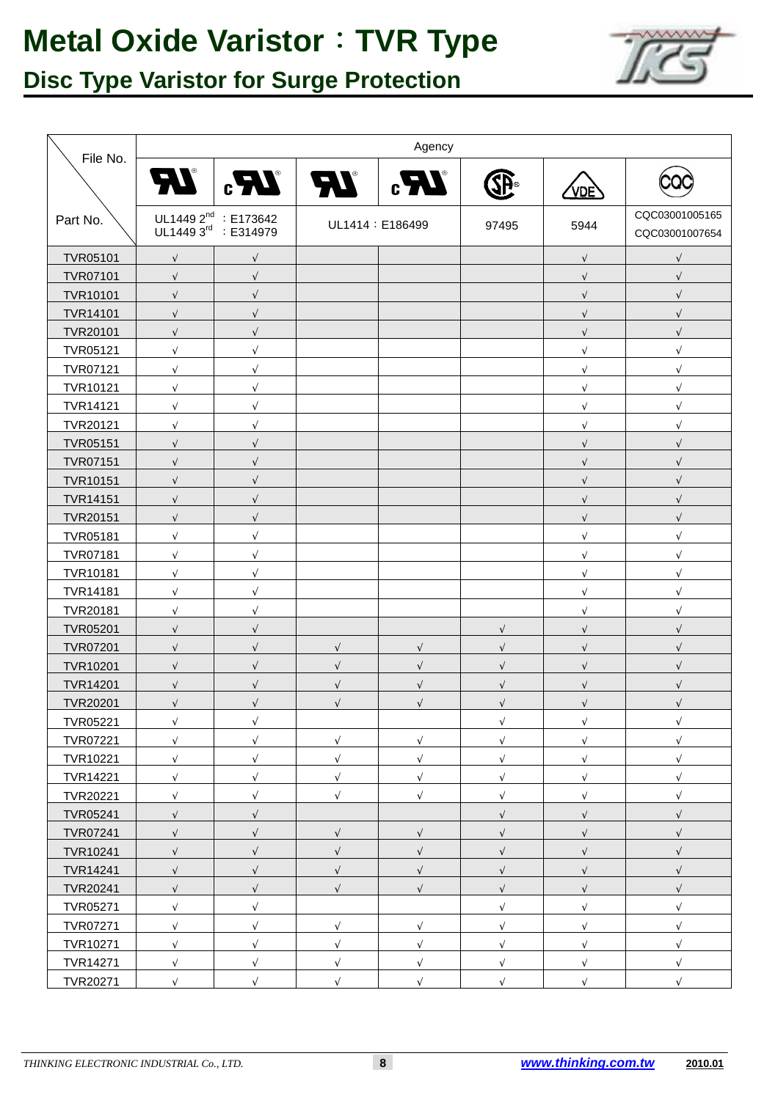

|                 | Agency               |                                                                      |            |                                   |           |            |                                  |  |  |  |  |
|-----------------|----------------------|----------------------------------------------------------------------|------------|-----------------------------------|-----------|------------|----------------------------------|--|--|--|--|
| File No.        |                      | $2\pi$ $2\pi$                                                        |            | $\boldsymbol{W}$ $\boldsymbol{H}$ |           | <u>VDE</u> |                                  |  |  |  |  |
| Part No.        |                      | UL1449 2 <sup>nd</sup> : E173642<br>UL1449 3 <sup>rd</sup> : E314979 |            | UL1414: E186499                   | 97495     | 5944       | CQC03001005165<br>CQC03001007654 |  |  |  |  |
| <b>TVR05101</b> | $\sqrt{}$            | $\sqrt{}$                                                            |            |                                   |           | $\sqrt{ }$ | $\sqrt{}$                        |  |  |  |  |
| <b>TVR07101</b> | $\sqrt{}$            | $\sqrt{ }$                                                           |            |                                   |           | $\sqrt{ }$ | $\sqrt{ }$                       |  |  |  |  |
| <b>TVR10101</b> | $\sqrt{}$            | $\sqrt{}$                                                            |            |                                   |           | $\sqrt{ }$ | $\sqrt{ }$                       |  |  |  |  |
| TVR14101        | $\sqrt{ }$           | $\sqrt{}$                                                            |            |                                   |           | $\sqrt{ }$ | $\sqrt{ }$                       |  |  |  |  |
| TVR20101        | $\sqrt{}$            |                                                                      |            |                                   |           | $\sqrt{ }$ |                                  |  |  |  |  |
| TVR05121        | $\sqrt{}$            | V                                                                    |            |                                   |           | $\sqrt{}$  | V                                |  |  |  |  |
| TVR07121        | $\sqrt{}$            | $\sqrt{}$                                                            |            |                                   |           | $\sqrt{ }$ |                                  |  |  |  |  |
| TVR10121        | $\sqrt{\phantom{a}}$ | $\sqrt{ }$                                                           |            |                                   |           | $\sqrt{ }$ | $\sqrt{ }$                       |  |  |  |  |
| TVR14121        | $\sqrt{}$            | $\sqrt{ }$                                                           |            |                                   |           | $\sqrt{ }$ | $\sqrt{ }$                       |  |  |  |  |
| TVR20121        | $\sqrt{}$            | $\sqrt{ }$                                                           |            |                                   |           | $\sqrt{ }$ | $\sqrt{ }$                       |  |  |  |  |
| <b>TVR05151</b> | $\sqrt{ }$           |                                                                      |            |                                   |           | $\sqrt{}$  |                                  |  |  |  |  |
| <b>TVR07151</b> | $\sqrt{ }$           | $\sqrt{ }$                                                           |            |                                   |           | $\sqrt{ }$ |                                  |  |  |  |  |
| <b>TVR10151</b> | $\sqrt{}$            | $\sqrt{}$                                                            |            |                                   |           | $\sqrt{ }$ | $\sqrt{ }$                       |  |  |  |  |
| <b>TVR14151</b> | $\sqrt{}$            | V                                                                    |            |                                   |           | $\sqrt{ }$ | V                                |  |  |  |  |
| TVR20151        | $\sqrt{}$            | $\sqrt{}$                                                            |            |                                   |           | $\sqrt{ }$ | $\sqrt{ }$                       |  |  |  |  |
| TVR05181        | $\sqrt{\phantom{a}}$ | $\sqrt{}$                                                            |            |                                   |           | $\sqrt{ }$ | $\sqrt{ }$                       |  |  |  |  |
| TVR07181        | $\sqrt{}$            | $\sqrt{}$                                                            |            |                                   |           | $\sqrt{ }$ | $\sqrt{ }$                       |  |  |  |  |
| TVR10181        | $\sqrt{}$            | $\sqrt{}$                                                            |            |                                   |           | $\sqrt{ }$ | $\sqrt{ }$                       |  |  |  |  |
| TVR14181        | $\sqrt{ }$           | $\sqrt{ }$                                                           |            |                                   |           | $\sqrt{ }$ | $\sqrt{ }$                       |  |  |  |  |
| TVR20181        | $\sqrt{\phantom{a}}$ | $\sqrt{ }$                                                           |            |                                   |           | $\sqrt{ }$ | $\sqrt{ }$                       |  |  |  |  |
| <b>TVR05201</b> | $\sqrt{}$            | $\sqrt{ }$                                                           |            |                                   | $\sqrt{}$ | $\sqrt{}$  | $\sqrt{ }$                       |  |  |  |  |
| <b>TVR07201</b> | $\sqrt{}$            |                                                                      |            | $\sqrt{ }$                        |           | $\sqrt{ }$ |                                  |  |  |  |  |
| TVR10201        | $\sqrt{ }$           |                                                                      |            | $\sqrt{ }$                        |           | $\sqrt{ }$ |                                  |  |  |  |  |
| <b>TVR14201</b> | $\sqrt{}$            | $\sqrt{}$                                                            | $\sqrt{}$  | $\sqrt{ }$                        |           | $\sqrt{ }$ |                                  |  |  |  |  |
| TVR20201        | $\sqrt{ }$           | $\sqrt{ }$                                                           | $\sqrt{ }$ | $\sqrt{ }$                        | $\sqrt{}$ | $\sqrt{ }$ | $\sqrt{ }$                       |  |  |  |  |
| TVR05221        | $\sqrt{}$            |                                                                      |            |                                   |           |            |                                  |  |  |  |  |
| TVR07221        | $\sqrt{2}$           |                                                                      | $\sqrt{}$  | $\sqrt{}$                         |           |            |                                  |  |  |  |  |
| TVR10221        | $\sqrt{ }$           |                                                                      | V          |                                   |           | $\sqrt{ }$ |                                  |  |  |  |  |
| <b>TVR14221</b> | $\sqrt{}$            |                                                                      | N          |                                   |           | N          |                                  |  |  |  |  |
| TVR20221        | $\sqrt{ }$           |                                                                      | $\sqrt{}$  | $\sqrt{ }$                        |           | $\sqrt{ }$ |                                  |  |  |  |  |
| TVR05241        | $\sqrt{}$            |                                                                      |            |                                   |           |            |                                  |  |  |  |  |
| TVR07241        | $\sqrt{}$            |                                                                      | $\sqrt{ }$ | $\sqrt{ }$                        |           | $\sqrt{ }$ |                                  |  |  |  |  |
| TVR10241        | $\sqrt{}$            |                                                                      |            |                                   |           | N          |                                  |  |  |  |  |
| TVR14241        | $\sqrt{}$            |                                                                      |            |                                   |           |            |                                  |  |  |  |  |
| TVR20241        | $\sqrt{ }$           |                                                                      | $\sqrt{}$  | $\sqrt{ }$                        |           |            |                                  |  |  |  |  |
| TVR05271        | $\sqrt{ }$           |                                                                      |            |                                   |           |            |                                  |  |  |  |  |
| TVR07271        | $\sqrt{ }$           |                                                                      | $\sqrt{}$  | $\sqrt{ }$                        |           | $\sqrt{ }$ |                                  |  |  |  |  |
| TVR10271        | $\sqrt{}$            |                                                                      |            | $\sqrt{ }$                        |           | $\sqrt{2}$ |                                  |  |  |  |  |
| <b>TVR14271</b> | $\sqrt{\phantom{a}}$ | $\sqrt{ }$                                                           | $\sqrt{}$  | $\sqrt{ }$                        | $\sqrt{}$ | $\sqrt{ }$ | V                                |  |  |  |  |
| <b>TVR20271</b> | $\sqrt{\phantom{a}}$ | $\sqrt{}$                                                            | $\sqrt{}$  | $\sqrt{ }$                        | $\sqrt{}$ | $\sqrt{ }$ |                                  |  |  |  |  |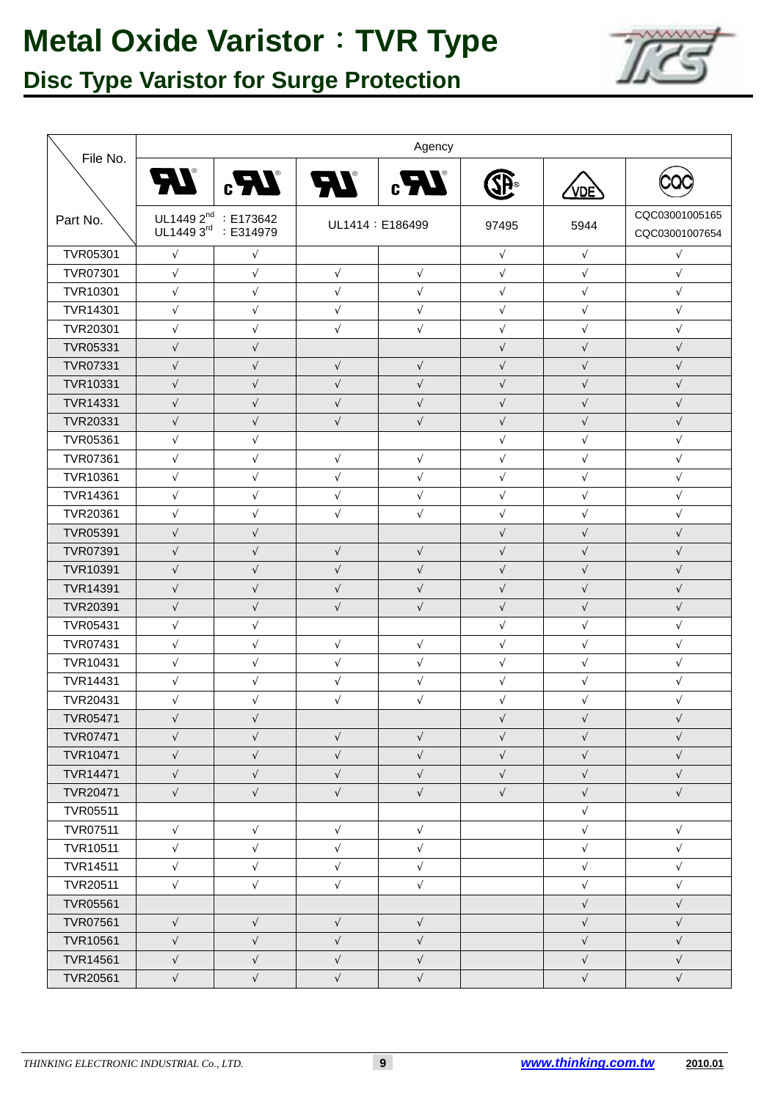

| File No.        |                      |                                                                      |            | Agency           |            |            |                                  |
|-----------------|----------------------|----------------------------------------------------------------------|------------|------------------|------------|------------|----------------------------------|
|                 |                      | $27$ $27$ $27$                                                       |            |                  |            | <b>VDE</b> |                                  |
| Part No.        |                      | UL1449 2 <sup>nd</sup> : E173642<br>UL1449 3 <sup>rd</sup> : E314979 |            | UL1414 : E186499 | 97495      | 5944       | CQC03001005165<br>CQC03001007654 |
| TVR05301        | $\sqrt{ }$           | V                                                                    |            |                  | $\sqrt{ }$ | $\sqrt{ }$ |                                  |
| TVR07301        | $\sqrt{}$            | $\sqrt{ }$                                                           | $\sqrt{ }$ | $\sqrt{ }$       | $\sqrt{ }$ | $\sqrt{}$  |                                  |
| TVR10301        | $\sqrt{}$            | $\sqrt{ }$                                                           | $\sqrt{ }$ | $\sqrt{ }$       | $\sqrt{ }$ | $\sqrt{ }$ | $\sqrt{ }$                       |
| TVR14301        | $\sqrt{ }$           | $\sqrt{}$                                                            | $\sqrt{}$  | $\sqrt{ }$       | $\sqrt{}$  | $\sqrt{}$  | V                                |
| TVR20301        | $\sqrt{}$            | $\sqrt{ }$                                                           | $\sqrt{}$  | $\sqrt{ }$       | $\sqrt{ }$ | $\sqrt{ }$ | $\sqrt{ }$                       |
| TVR05331        | $\sqrt{}$            | $\sqrt{}$                                                            |            |                  | $\sqrt{ }$ | $\sqrt{ }$ | $\sqrt{ }$                       |
| <b>TVR07331</b> | $\sqrt{}$            | $\sqrt{}$                                                            | $\sqrt{ }$ | $\sqrt{ }$       | $\sqrt{ }$ | $\sqrt{}$  | V                                |
| TVR10331        | $\sqrt{}$            | $\sqrt{}$                                                            | $\sqrt{}$  | $\sqrt{}$        | $\sqrt{ }$ | $\sqrt{}$  |                                  |
| TVR14331        | $\sqrt{\phantom{a}}$ | $\sqrt{ }$                                                           | $\sqrt{}$  | $\sqrt{ }$       | $\sqrt{}$  | $\sqrt{}$  | $\sqrt{}$                        |
| TVR20331        | $\sqrt{ }$           | $\sqrt{ }$                                                           | $\sqrt{ }$ | $\sqrt{ }$       | $\sqrt{ }$ | $\sqrt{}$  | $\sqrt{ }$                       |
| TVR05361        | $\sqrt{}$            | $\sqrt{ }$                                                           |            |                  | $\sqrt{}$  | $\sqrt{}$  | $\sqrt{}$                        |
| TVR07361        | $\sqrt{\phantom{a}}$ | $\sqrt{ }$                                                           | $\sqrt{}$  | $\sqrt{ }$       | $\sqrt{ }$ | $\sqrt{}$  | $\sqrt{}$                        |
| TVR10361        | $\sqrt{}$            | $\sqrt{ }$                                                           | $\sqrt{}$  | $\sqrt{ }$       | $\sqrt{ }$ | $\sqrt{}$  | $\sqrt{}$                        |
| TVR14361        | $\sqrt{}$            | $\sqrt{ }$                                                           | $\sqrt{ }$ | $\sqrt{ }$       | $\sqrt{ }$ | $\sqrt{}$  | $\sqrt{ }$                       |
| TVR20361        | $\sqrt{}$            | $\sqrt{ }$                                                           | $\sqrt{}$  | $\sqrt{}$        | $\sqrt{ }$ | $\sqrt{}$  | $\sqrt{ }$                       |
| TVR05391        | $\sqrt{}$            | $\sqrt{}$                                                            |            |                  | $\sqrt{ }$ | $\sqrt{}$  |                                  |
| <b>TVR07391</b> | $\sqrt{}$            | $\sqrt{ }$                                                           | $\sqrt{ }$ | $\sqrt{ }$       | $\sqrt{ }$ | $\sqrt{}$  | $\sqrt{ }$                       |
| TVR10391        | $\sqrt{}$            | V                                                                    | $\sqrt{ }$ | $\sqrt{ }$       | $\sqrt{ }$ | $\sqrt{ }$ |                                  |
| TVR14391        | $\sqrt{}$            | $\sqrt{}$                                                            | $\sqrt{}$  | $\sqrt{}$        | $\sqrt{}$  | $\sqrt{}$  |                                  |
| TVR20391        | $\sqrt{}$            | $\sqrt{}$                                                            | $\sqrt{2}$ | $\sqrt{ }$       | $\sqrt{ }$ | $\sqrt{}$  |                                  |
| TVR05431        | $\sqrt{}$            | $\sqrt{ }$                                                           |            |                  | $\sqrt{ }$ | $\sqrt{}$  | $\sqrt{}$                        |
| TVR07431        | $\sqrt{}$            | $\sqrt{ }$                                                           | $\sqrt{ }$ | $\sqrt{ }$       | $\sqrt{ }$ | $\sqrt{ }$ | $\sqrt{}$                        |
| TVR10431        | $\sqrt{ }$           | $\sqrt{ }$                                                           | $\sqrt{}$  | $\sqrt{}$        | $\sqrt{ }$ | $\sqrt{}$  | $\sqrt{}$                        |
| TVR14431        | $\sqrt{}$            | $\sqrt{ }$                                                           | $\sqrt{}$  | $\sqrt{ }$       | $\sqrt{ }$ | $\sqrt{ }$ | $\sqrt{ }$                       |
| TVR20431        | $\sqrt{}$            | $\sqrt{}$                                                            | $\sqrt{}$  | $\sqrt{ }$       | $\sqrt{ }$ | $\sqrt{ }$ | $\sqrt{}$                        |
| TVR05471        | $\sqrt{ }$           |                                                                      |            |                  | $\sqrt{}$  | V          |                                  |
| <b>TVR07471</b> | $\sqrt{ }$           | $\sqrt{ }$                                                           | $\sqrt{}$  | $\sqrt{ }$       | $\sqrt{ }$ | $\sqrt{}$  |                                  |
| <b>TVR10471</b> | $\sqrt{\phantom{a}}$ | $\sqrt{ }$                                                           | $\sqrt{}$  | $\sqrt{}$        | $\sqrt{ }$ | $\sqrt{}$  | $\sqrt{ }$                       |
| <b>TVR14471</b> | $\sqrt{}$            | $\sqrt{ }$                                                           | $\sqrt{ }$ | $\sqrt{ }$       | $\sqrt{ }$ | $\sqrt{}$  | $\sqrt{ }$                       |
| <b>TVR20471</b> | $\sqrt{}$            | $\sqrt{ }$                                                           | $\sqrt{}$  | $\sqrt{}$        | $\sqrt{ }$ | $\sqrt{}$  | $\sqrt{ }$                       |
| TVR05511        |                      |                                                                      |            |                  |            | $\sqrt{}$  |                                  |
| TVR07511        | $\sqrt{ }$           | $\sqrt{}$                                                            | $\sqrt{}$  | $\sqrt{}$        |            | $\sqrt{}$  | $\sqrt{}$                        |
| TVR10511        | $\sqrt{}$            | $\sqrt{}$                                                            | $\sqrt{}$  | $\sqrt{}$        |            | $\sqrt{ }$ | $\sqrt{ }$                       |
| <b>TVR14511</b> | $\sqrt{}$            | $\sqrt{ }$                                                           | $\sqrt{}$  | $\sqrt{}$        |            | $\sqrt{}$  | V                                |
| TVR20511        | $\sqrt{}$            | $\sqrt{}$                                                            | $\sqrt{}$  | $\sqrt{}$        |            | $\sqrt{ }$ |                                  |
| TVR05561        |                      |                                                                      |            |                  |            | $\sqrt{}$  | $\sqrt{ }$                       |
| <b>TVR07561</b> | $\sqrt{}$            | $\sqrt{ }$                                                           | $\sqrt{ }$ | $\sqrt{ }$       |            | $\sqrt{ }$ |                                  |
| TVR10561        | $\sqrt{}$            | $\sqrt{}$                                                            | $\sqrt{}$  | $\sqrt{}$        |            | $\sqrt{}$  | $\sqrt{ }$                       |
| <b>TVR14561</b> | $\sqrt{\phantom{a}}$ | $\sqrt{}$                                                            | $\sqrt{}$  | $\sqrt{}$        |            | $\sqrt{}$  |                                  |
| TVR20561        | $\sqrt{\phantom{a}}$ | $\sqrt{ }$                                                           | $\sqrt{}$  | $\sqrt{ }$       |            | $\sqrt{ }$ | $\sqrt{ }$                       |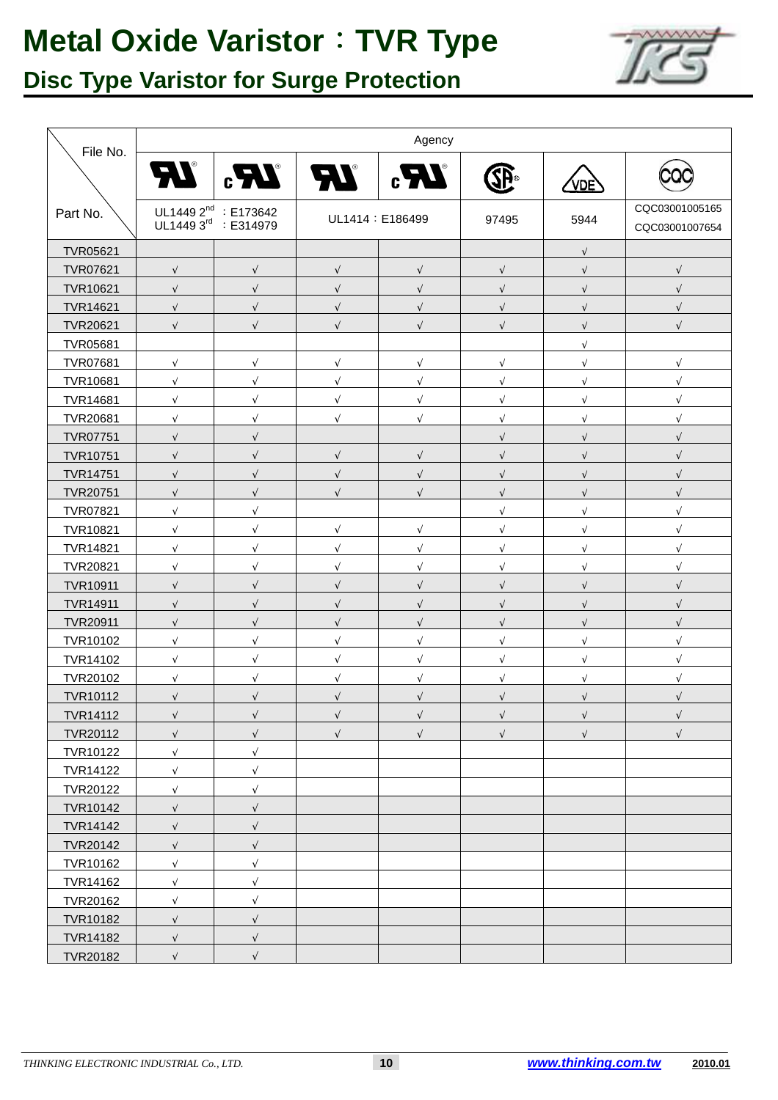

| File No.        | Agency                                                   |                  |                                   |                          |             |                          |                                  |  |  |  |  |
|-----------------|----------------------------------------------------------|------------------|-----------------------------------|--------------------------|-------------|--------------------------|----------------------------------|--|--|--|--|
|                 | <b>AT</b>                                                | $\boldsymbol{Z}$ | $\boldsymbol{H}$ $\boldsymbol{H}$ |                          | <b>SP</b> ® | <b>VDE</b>               |                                  |  |  |  |  |
| Part No.        | UL1449 2 <sup>nd</sup> : E173642<br>UL1449 3rd : E314979 |                  |                                   | UL1414: E186499          | 97495       | 5944                     | CQC03001005165<br>CQC03001007654 |  |  |  |  |
| TVR05621        |                                                          |                  |                                   |                          |             |                          |                                  |  |  |  |  |
| <b>TVR07621</b> | $\sqrt{}$                                                | $\sqrt{}$        | $\sqrt{ }$                        | $\sqrt{}$                | $\sqrt{ }$  |                          |                                  |  |  |  |  |
| TVR10621        | $\sqrt{}$                                                | $\sqrt{}$        | $\sqrt{}$                         | $\sqrt{ }$               | $\sqrt{ }$  | $\sqrt{ }$               |                                  |  |  |  |  |
| <b>TVR14621</b> | $\sqrt{}$                                                |                  |                                   |                          | $\sqrt{ }$  |                          |                                  |  |  |  |  |
| <b>TVR20621</b> | $\sqrt{}$                                                | $\sqrt{}$        | $\sqrt{}$                         | $\sqrt{ }$               | $\sqrt{ }$  | V                        |                                  |  |  |  |  |
| TVR05681        |                                                          |                  |                                   |                          |             | N                        |                                  |  |  |  |  |
| TVR07681        | $\sqrt{ }$                                               | $\sqrt{}$        | $\sqrt{}$                         | $\sqrt{ }$               | $\sqrt{ }$  | $\sqrt{ }$               | V                                |  |  |  |  |
| TVR10681        | $\sqrt{}$                                                | $\sqrt{2}$       | $\sqrt{}$                         | $\sqrt{ }$               | $\sqrt{ }$  | $\sqrt{}$                |                                  |  |  |  |  |
| TVR14681        | $\sqrt{\phantom{a}}$                                     | $\sqrt{}$        | $\sqrt{\phantom{a}}$              | $\sqrt{}$                | $\sqrt{ }$  | $\sqrt{ }$               |                                  |  |  |  |  |
| <b>TVR20681</b> | $\sqrt{}$                                                |                  | $\sqrt{}$                         | $\sqrt{ }$               | $\sqrt{ }$  | N                        |                                  |  |  |  |  |
| <b>TVR07751</b> | $\sqrt{}$                                                |                  |                                   |                          | $\sqrt{ }$  | V                        |                                  |  |  |  |  |
| <b>TVR10751</b> | $\sqrt{}$                                                |                  |                                   |                          |             |                          |                                  |  |  |  |  |
| <b>TVR14751</b> | $\sqrt{}$                                                |                  |                                   |                          | $\sqrt{ }$  |                          |                                  |  |  |  |  |
| TVR20751        | $\sqrt{}$                                                |                  | $\sqrt{ }$                        | $\sqrt{ }$               | $\sqrt{ }$  | $\sqrt{2}$               |                                  |  |  |  |  |
| <b>TVR07821</b> | $\sqrt{}$                                                |                  |                                   |                          | $\sqrt{ }$  | N                        | N                                |  |  |  |  |
| TVR10821        | $\sqrt{}$                                                |                  | $\sqrt{}$                         | $\sqrt{}$                | $\sqrt{ }$  |                          |                                  |  |  |  |  |
| TVR14821        | $\sqrt{\phantom{a}}$                                     |                  |                                   |                          |             |                          |                                  |  |  |  |  |
| <b>TVR20821</b> | $\sqrt{}$                                                |                  | $\sqrt{ }$                        | V                        | V           | N                        |                                  |  |  |  |  |
| TVR10911        | $\sqrt{}$                                                |                  | $\sqrt{}$                         |                          | $\sqrt{ }$  |                          |                                  |  |  |  |  |
| <b>TVR14911</b> | $\sqrt{ }$                                               |                  |                                   |                          | $\sqrt{}$   |                          |                                  |  |  |  |  |
| <b>TVR20911</b> | $\sqrt{}$                                                |                  | $\sqrt{}$                         | $\sqrt{}$                | $\sqrt{ }$  | N                        |                                  |  |  |  |  |
| <b>TVR10102</b> | $\sqrt{}$                                                |                  | $\sqrt{}$                         | $\sqrt{ }$               | $\sqrt{ }$  | $\sqrt{ }$               |                                  |  |  |  |  |
| TVR14102        | $\sqrt{}$                                                |                  |                                   | $\overline{\mathcal{N}}$ | $\sqrt{ }$  | $\sqrt{2}$               |                                  |  |  |  |  |
| TVR20102        | $\sqrt{}$                                                |                  |                                   |                          | $\sqrt{}$   | $\overline{\mathcal{N}}$ |                                  |  |  |  |  |
| <b>TVR10112</b> | $\sqrt{\phantom{a}}$                                     |                  |                                   | $\sqrt{ }$               | $\sqrt{ }$  |                          |                                  |  |  |  |  |
| TVR14112        | $\sqrt{ }$                                               | V                | $\sqrt{ }$                        | $\sqrt{ }$               | $\sqrt{ }$  | $\sqrt{ }$               | $\sqrt{ }$                       |  |  |  |  |
| TVR20112        | $\sqrt{}$                                                | $\sqrt{}$        | $\sqrt{}$                         | $\sqrt{ }$               | $\sqrt{ }$  | $\sqrt{ }$               | $\sqrt{ }$                       |  |  |  |  |
| TVR10122        | $\sqrt{}$                                                | $\sqrt{}$        |                                   |                          |             |                          |                                  |  |  |  |  |
| <b>TVR14122</b> | $\sqrt{}$                                                | $\sqrt{}$        |                                   |                          |             |                          |                                  |  |  |  |  |
| <b>TVR20122</b> | $\sqrt{}$                                                | V                |                                   |                          |             |                          |                                  |  |  |  |  |
| TVR10142        | $\sqrt{}$                                                |                  |                                   |                          |             |                          |                                  |  |  |  |  |
| <b>TVR14142</b> | $\sqrt{}$                                                |                  |                                   |                          |             |                          |                                  |  |  |  |  |
| <b>TVR20142</b> | $\sqrt{}$                                                |                  |                                   |                          |             |                          |                                  |  |  |  |  |
| TVR10162        | $\sqrt{}$                                                | V                |                                   |                          |             |                          |                                  |  |  |  |  |
| <b>TVR14162</b> | $\sqrt{}$                                                | $\sqrt{}$        |                                   |                          |             |                          |                                  |  |  |  |  |
| <b>TVR20162</b> | $\sqrt{}$                                                | $\sqrt{}$        |                                   |                          |             |                          |                                  |  |  |  |  |
| <b>TVR10182</b> | $\sqrt{ }$                                               | $\sqrt{}$        |                                   |                          |             |                          |                                  |  |  |  |  |
| <b>TVR14182</b> | $\sqrt{\phantom{a}}$                                     | $\sqrt{}$        |                                   |                          |             |                          |                                  |  |  |  |  |
| <b>TVR20182</b> | $\sqrt{\phantom{a}}$                                     | $\sqrt{}$        |                                   |                          |             |                          |                                  |  |  |  |  |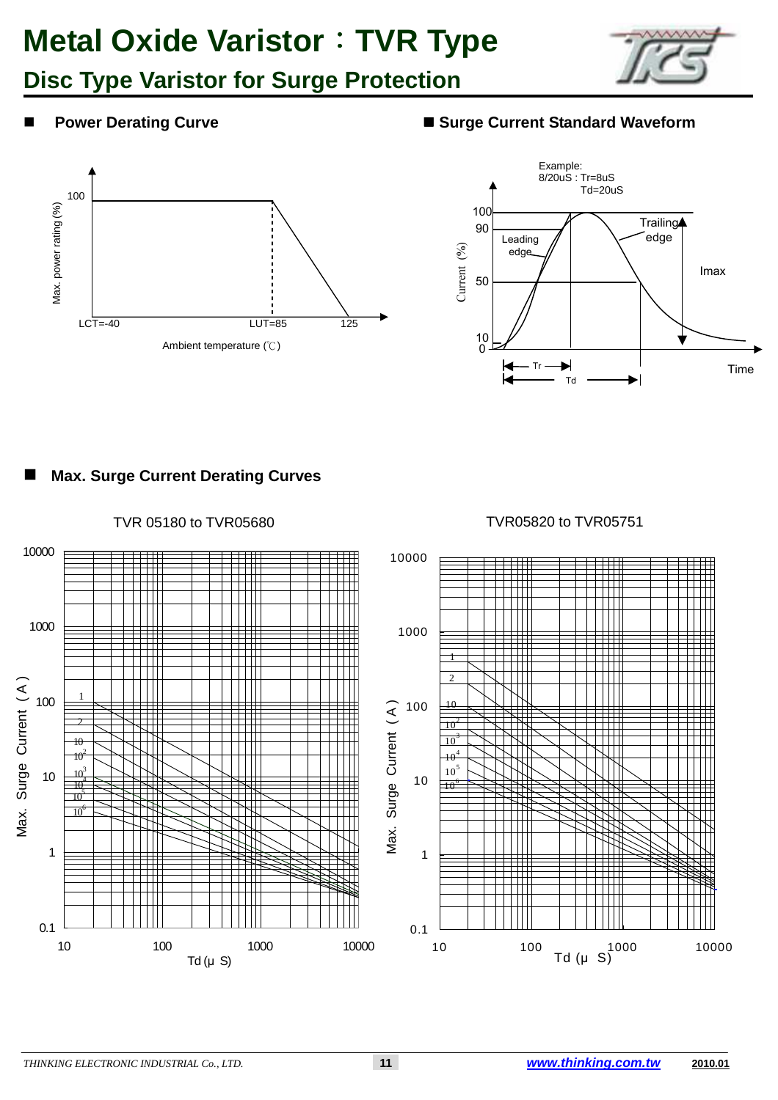### **Disc Type Varistor for Surge Protection**



#### **Power Derating Curve ■ Surge Current Standard Waveform**





#### **Max. Surge Current Derating Curves**

TVR 05180 to TVR05680

TVR05820 to TVR05751



*THINKING ELECTRONIC INDUSTRIAL Co., LTD.* **11 www.thinking.com.tw 2010.01**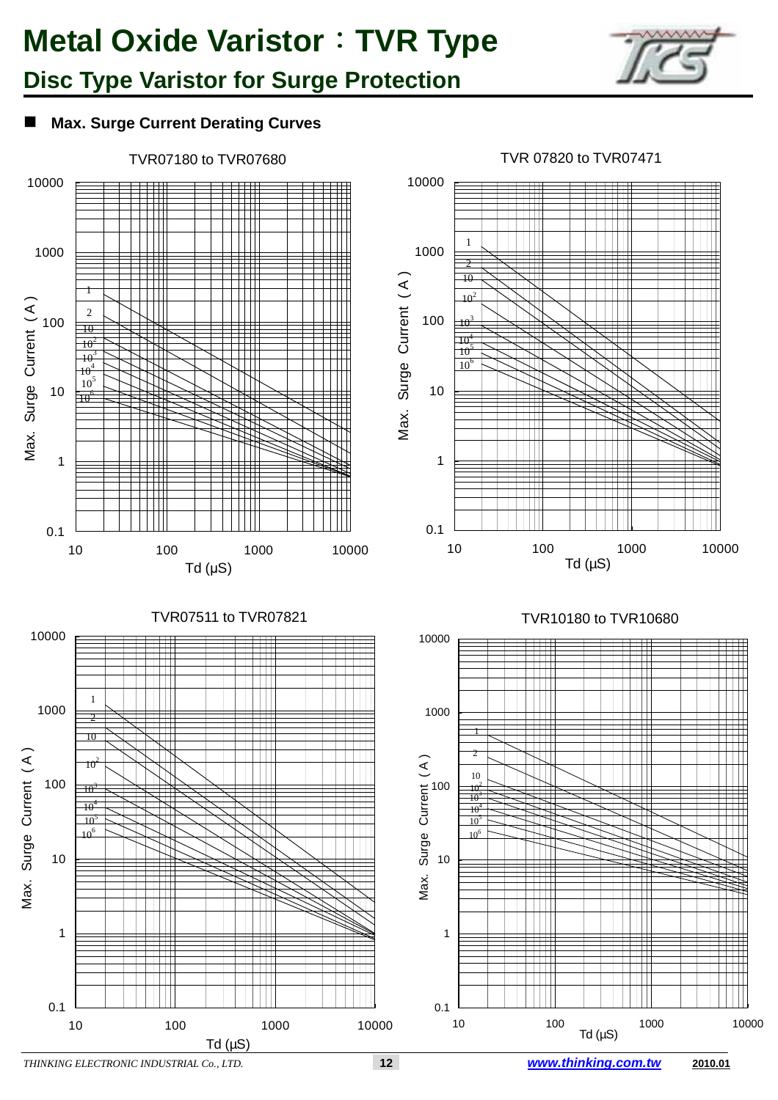

### **Disc Type Varistor for Surge Protection**

#### **Max. Surge Current Derating Curves**

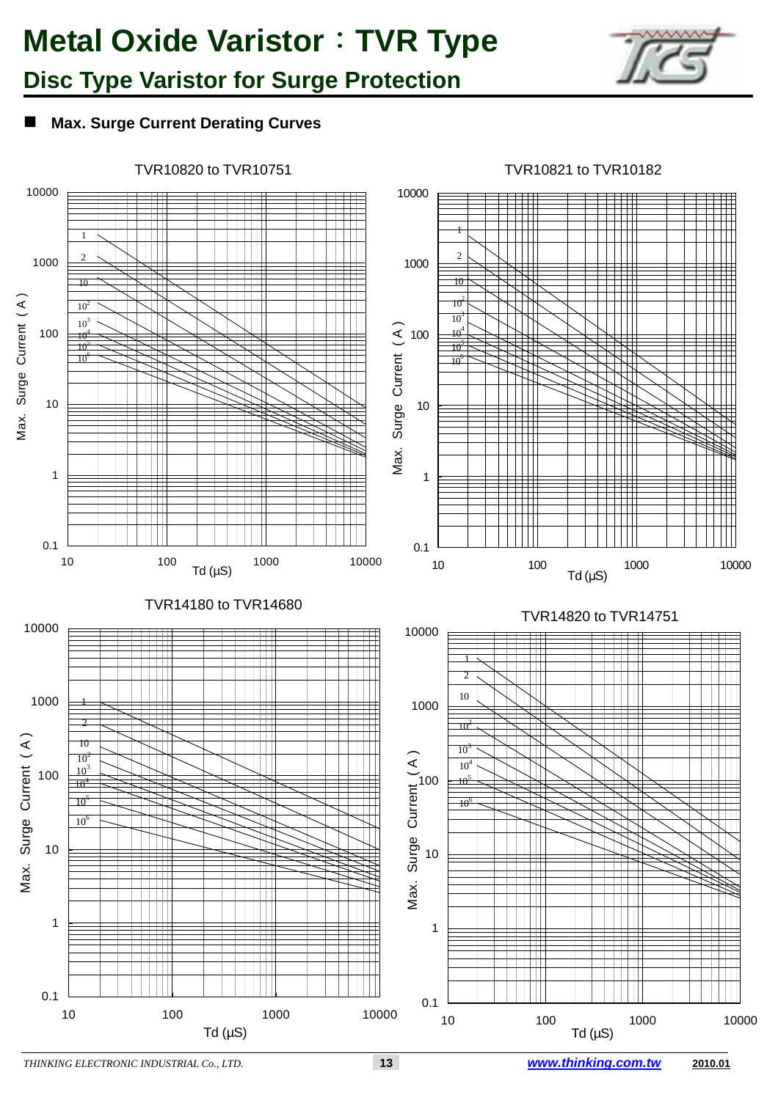

### **Disc Type Varistor for Surge Protection**

#### **Max. Surge Current Derating Curves**



*THINKING ELECTRONIC INDUSTRIAL Co., LTD.* **13 www.thinking.com.tw 2010.01**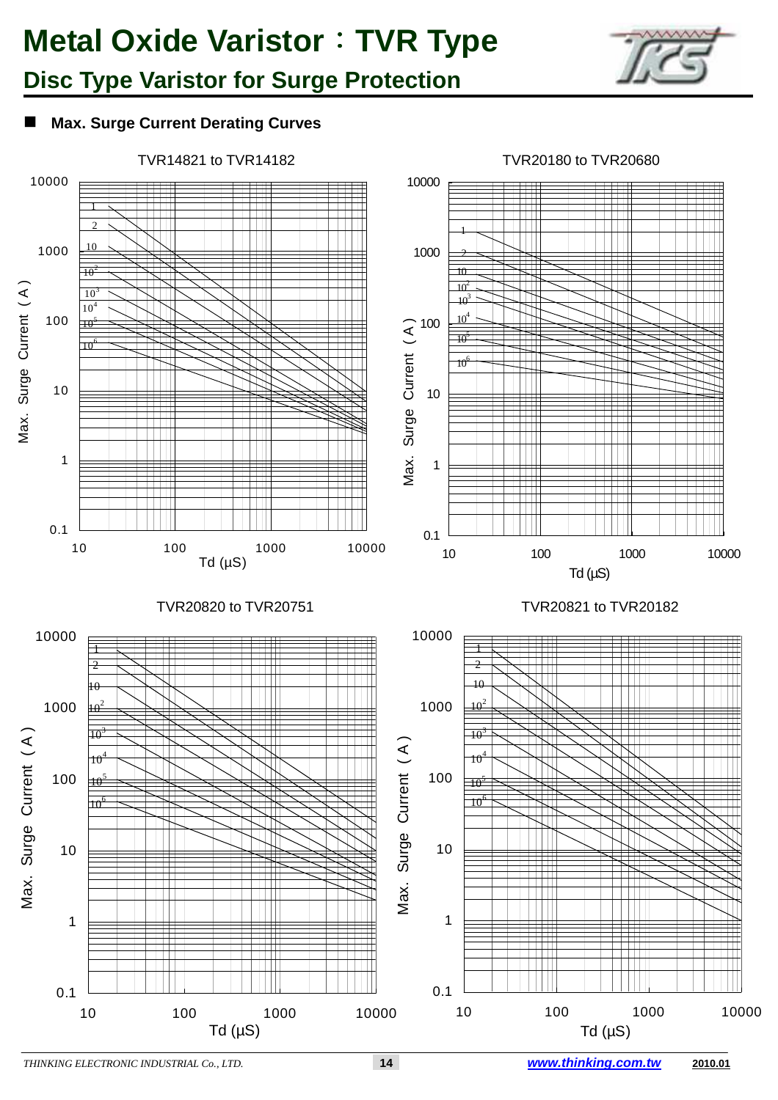

### **Disc Type Varistor for Surge Protection**

#### **Max. Surge Current Derating Curves**

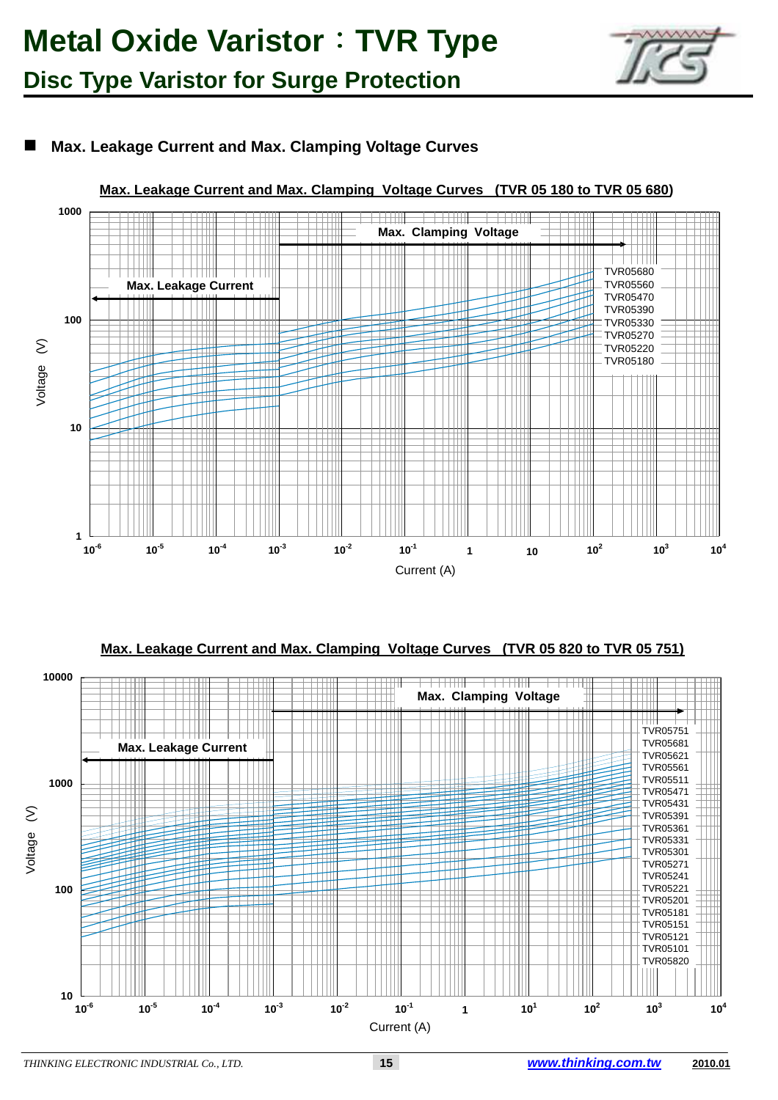

#### **Max. Leakage Current and Max. Clamping Voltage Curves**



**Max. Leakage Current and Max. Clamping Voltage Curves (TVR 05 180 to TVR 05 680)**

**Max. Leakage Current and Max. Clamping Voltage Curves (TVR 05 820 to TVR 05 751)**

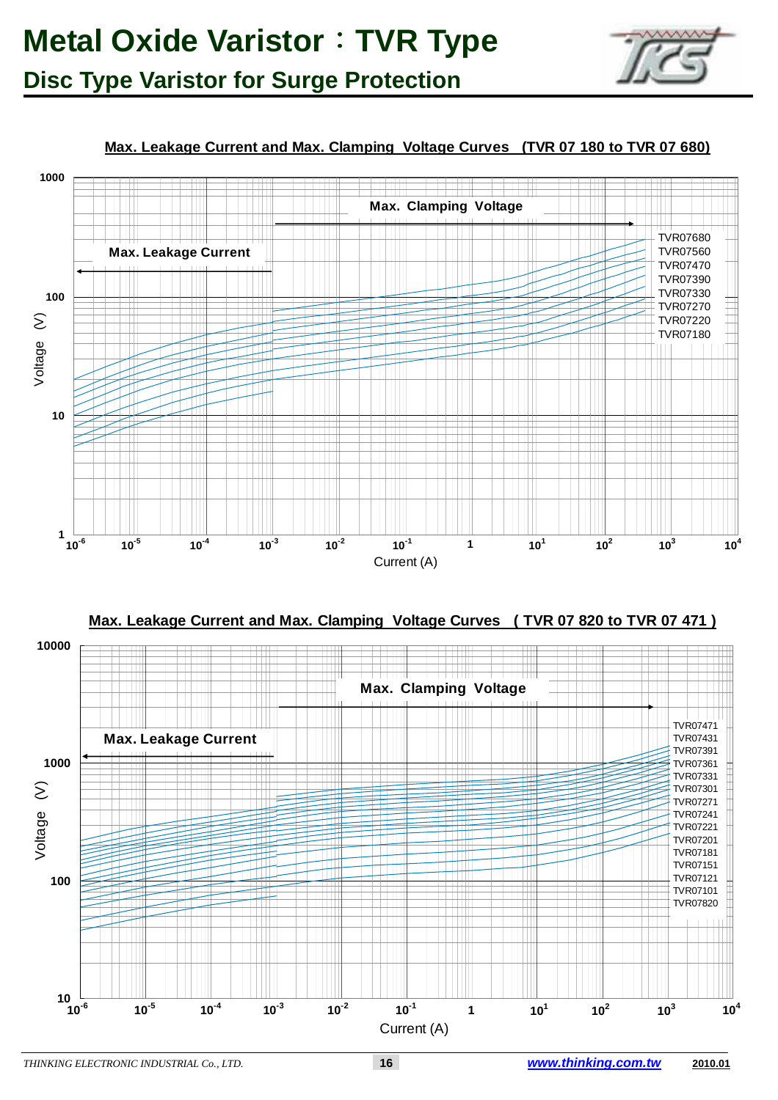

#### **Max. Leakage Current and Max. Clamping Voltage Curves (TVR 07 180 to TVR 07 680)**



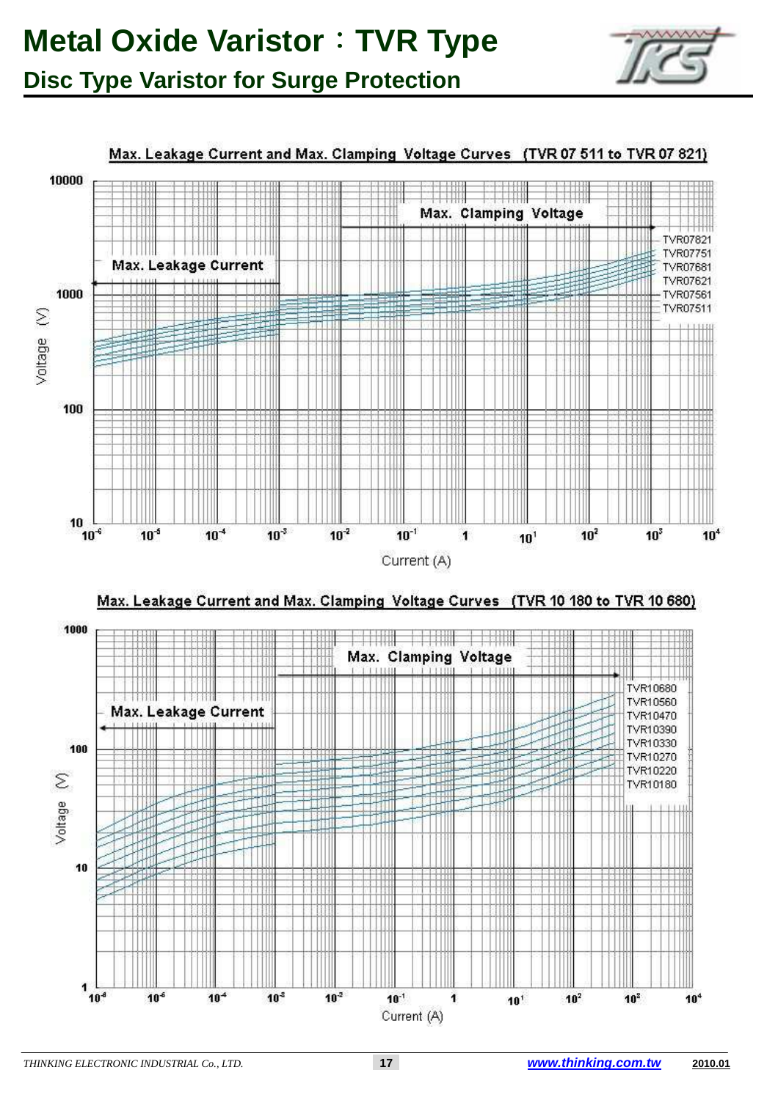

Max. Leakage Current and Max. Clamping Voltage Curves (TVR 07 511 to TVR 07 821)

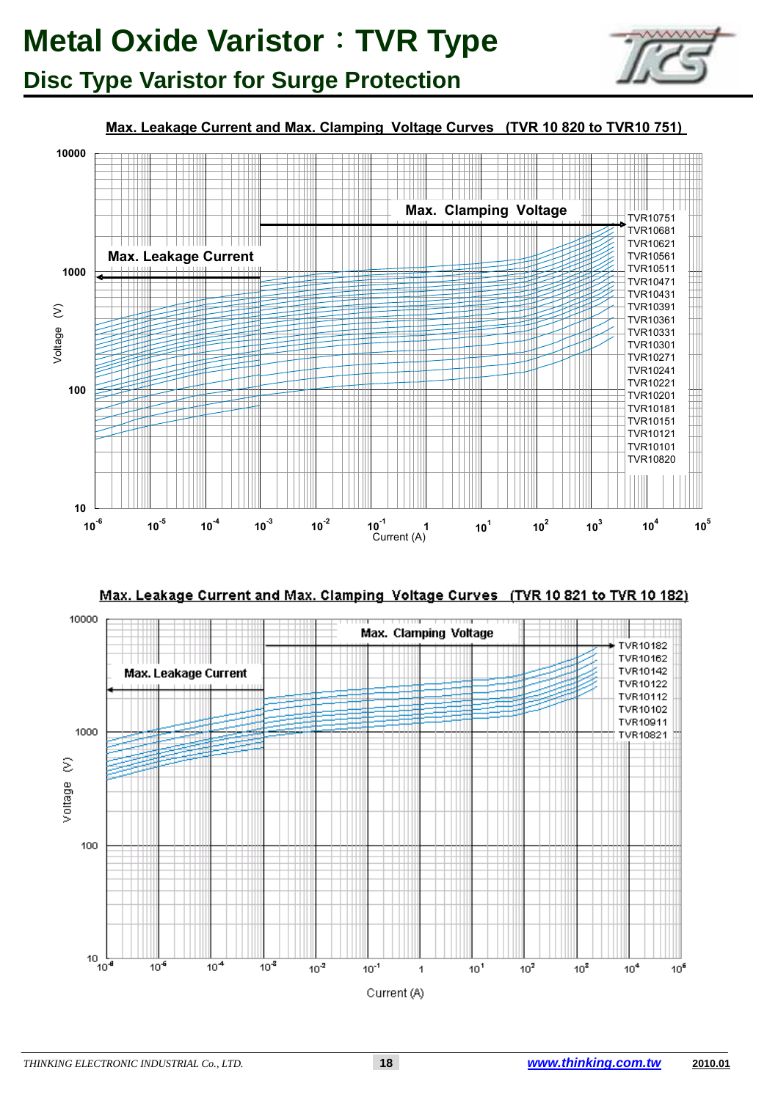





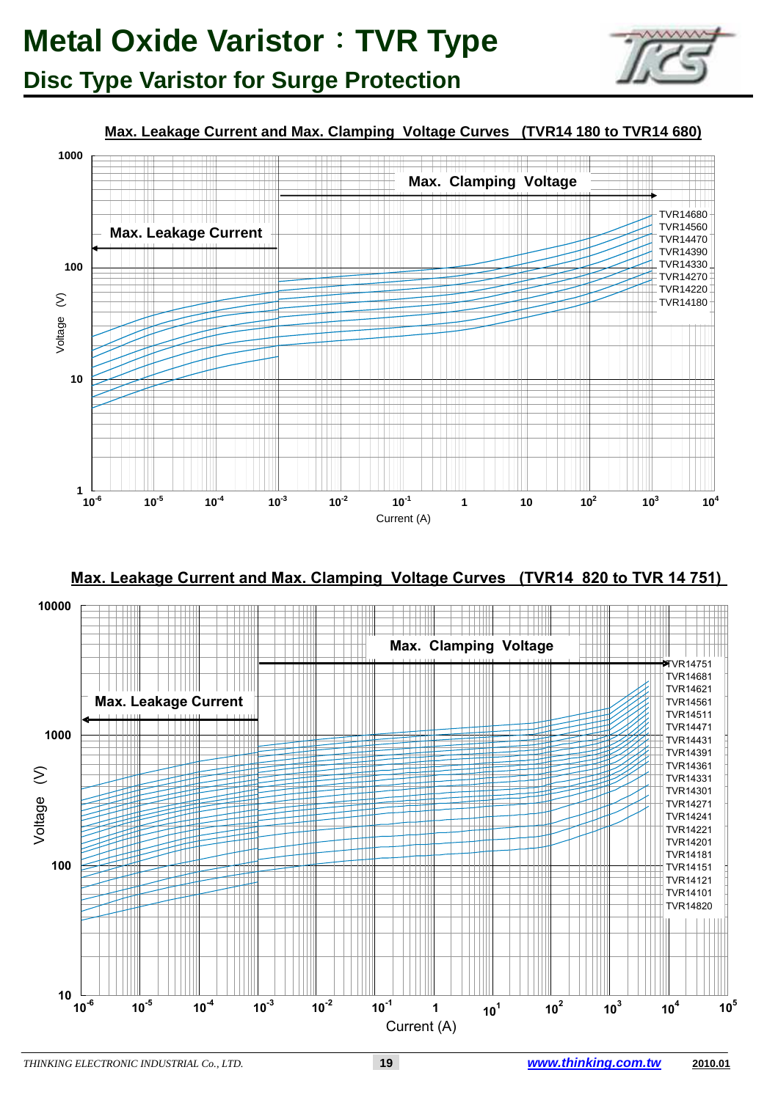

#### **Max. Leakage Current and Max. Clamping Voltage Curves (TVR14 180 to TVR14 680)**





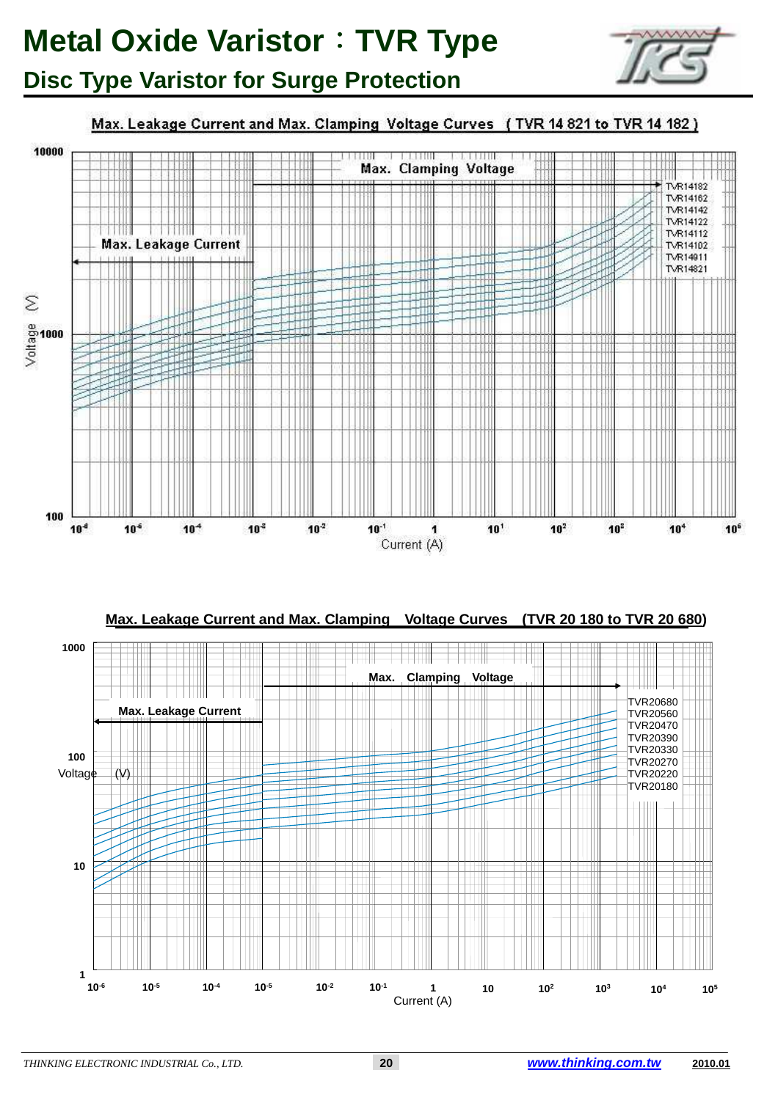

### **Disc Type Varistor for Surge Protection**

#### Max. Leakage Current and Max. Clamping Voltage Curves (TVR 14 821 to TVR 14 182)





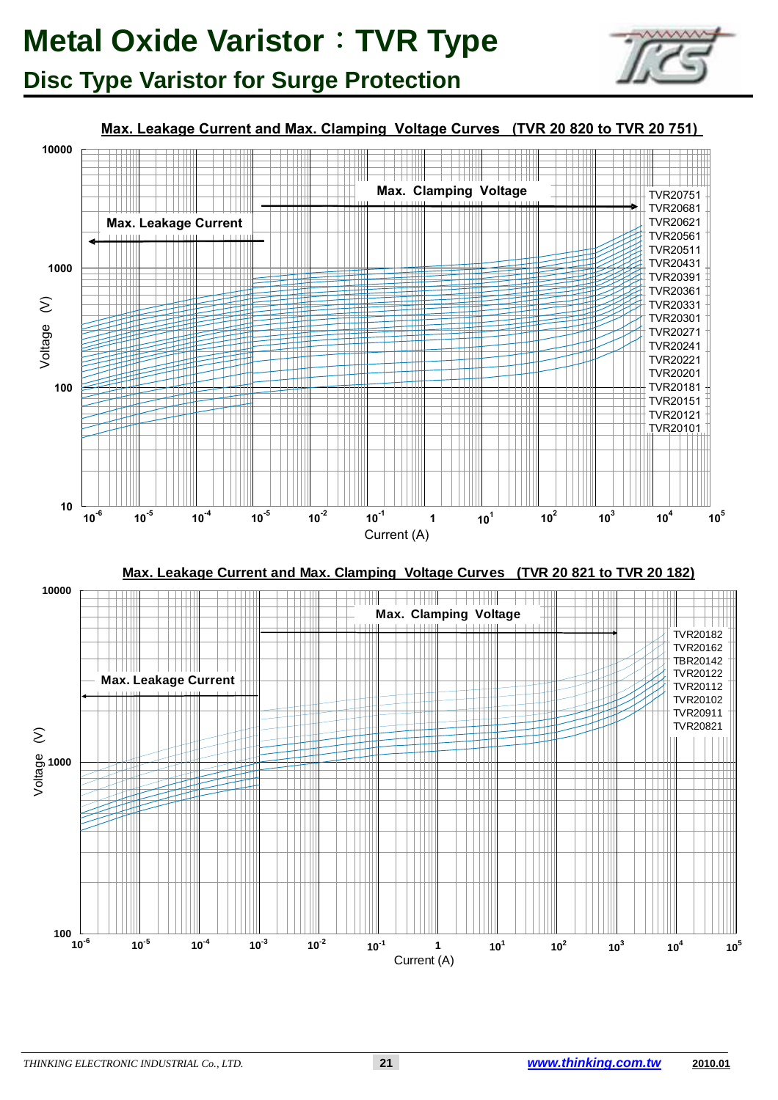



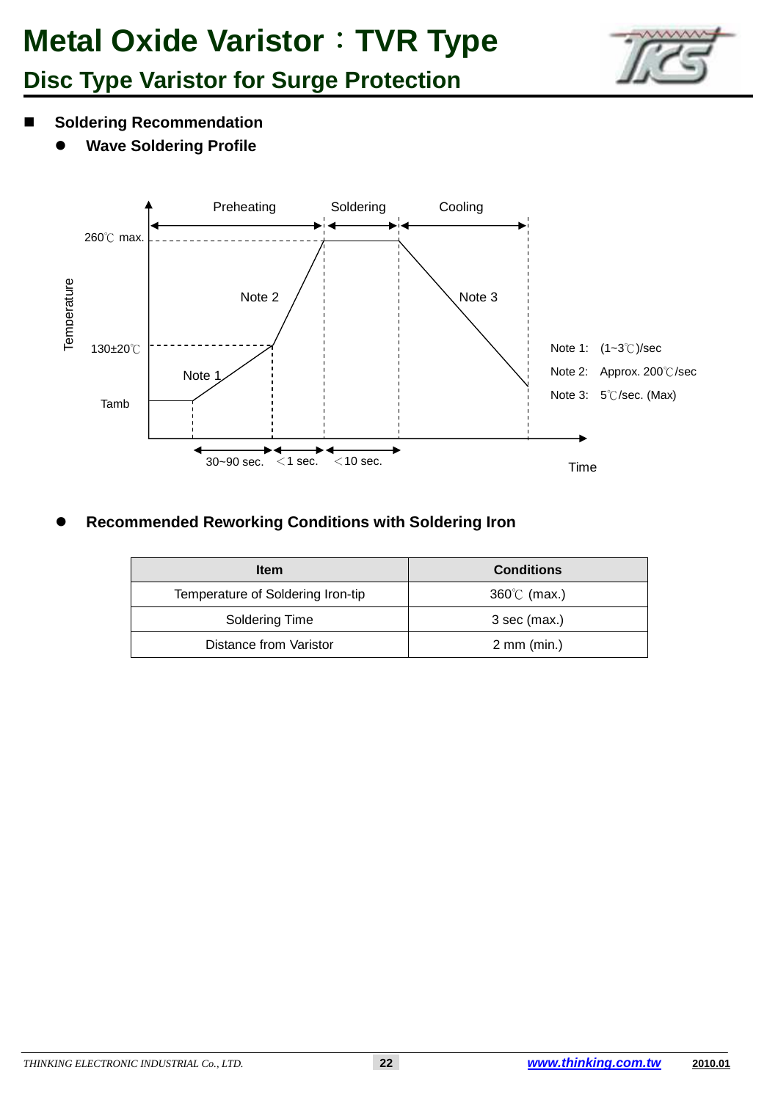

### **Disc Type Varistor for Surge Protection**

- **Soldering Recommendation** 
	- $\bullet$ **Wave Soldering Profile**



#### $\bullet$ **Recommended Reworking Conditions with Soldering Iron**

| <b>Item</b>                       | <b>Conditions</b>     |
|-----------------------------------|-----------------------|
| Temperature of Soldering Iron-tip | $360^{\circ}$ (max.)  |
| <b>Soldering Time</b>             | 3 sec (max.)          |
| Distance from Varistor            | $2 \text{ mm (min.)}$ |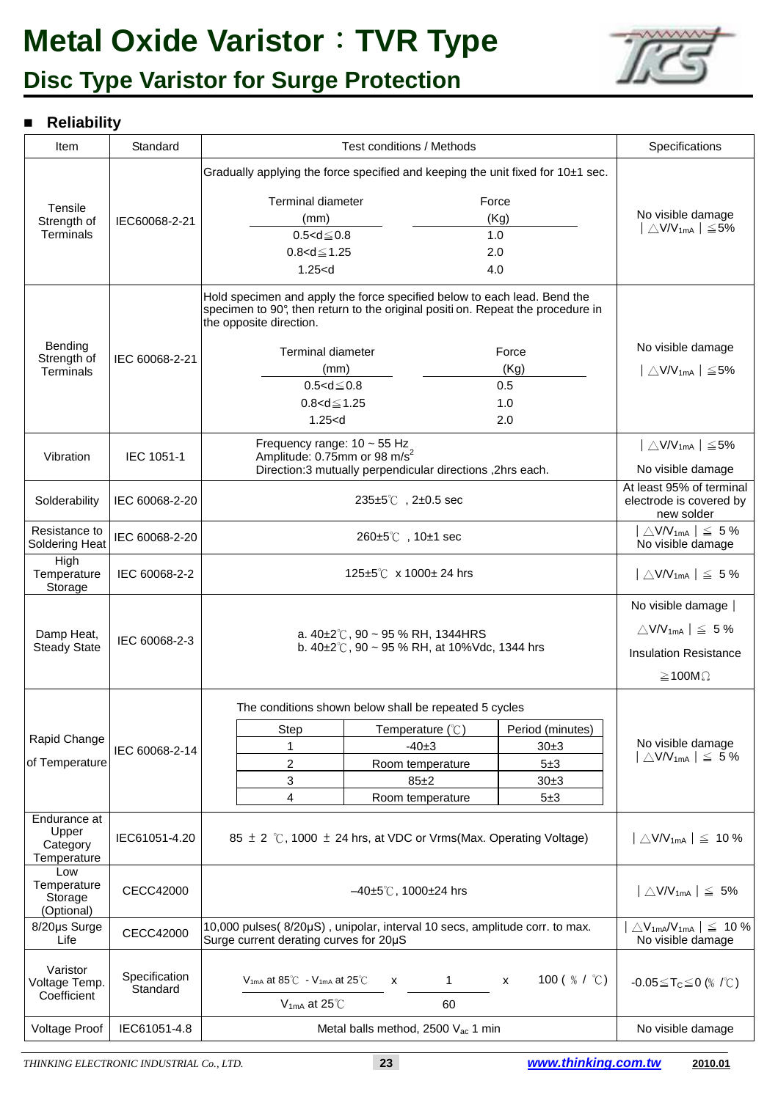

### **Disc Type Varistor for Surge Protection**

#### **Reliability**

| Item                                             | Standard                  | Test conditions / Methods                                                                                                                                                              | Specifications                                                                                                         |
|--------------------------------------------------|---------------------------|----------------------------------------------------------------------------------------------------------------------------------------------------------------------------------------|------------------------------------------------------------------------------------------------------------------------|
|                                                  |                           | Gradually applying the force specified and keeping the unit fixed for 10±1 sec.                                                                                                        |                                                                                                                        |
| Tensile<br>Strength of<br>Terminals              | IEC60068-2-21             | <b>Terminal diameter</b><br>Force<br>(Kg)<br>(mm)<br>$0.5 < d \le 0.8$<br>1.0<br>$0.8 < d \le 1.25$<br>2.0<br>1.25 < d<br>4.0                                                          | No visible damage<br>$ \triangle$ V/V <sub>1mA</sub> $ \leq$ 5%                                                        |
|                                                  |                           | Hold specimen and apply the force specified below to each lead. Bend the<br>specimen to 90°, then return to the original positi on. Repeat the procedure in<br>the opposite direction. |                                                                                                                        |
| Bending<br>Strength of<br>Terminals              | IEC 60068-2-21            | <b>Terminal diameter</b><br>Force<br>(Kg)<br>(mm)<br>$0.5 < d \le 0.8$<br>0.5<br>$0.8 < d \le 1.25$<br>1.0<br>1.25 < d<br>2.0                                                          | No visible damage<br>$ \triangle$ V/V <sub>1mA</sub> $ \leq$ 5%                                                        |
| Vibration                                        | IEC 1051-1                | Frequency range: 10 ~ 55 Hz<br>Amplitude: 0.75mm or 98 m/s <sup>2</sup><br>Direction:3 mutually perpendicular directions ,2hrs each.                                                   | $ \triangle$ V/V <sub>1mA</sub> $ \leq$ 5%<br>No visible damage                                                        |
| Solderability                                    | IEC 60068-2-20            | 235±5℃, 2±0.5 sec                                                                                                                                                                      | At least 95% of terminal<br>electrode is covered by<br>new solder                                                      |
| Resistance to<br>Soldering Heat                  | IEC 60068-2-20            | $260 \pm 5^{\circ}$ , 10 $\pm$ 1 sec                                                                                                                                                   | $\triangle$ V/V <sub>1mA</sub>   $\leq 5\%$<br>No visible damage                                                       |
| <b>High</b><br>Temperature<br>Storage            | IEC 60068-2-2             | 125±5℃ x 1000± 24 hrs                                                                                                                                                                  | $ \triangle$ V/V <sub>1mA</sub> $ \leq 5\%$                                                                            |
| Damp Heat,<br><b>Steady State</b>                | IEC 60068-2-3             | a. $40\pm2\degree$ C, 90 ~ 95 % RH, 1344HRS<br>b. $40\pm2^{\circ}$ C, 90 ~ 95 % RH, at 10%Vdc, 1344 hrs                                                                                | No visible damage<br>$\triangle$ V/V <sub>1mA</sub> $\geq 5\%$<br><b>Insulation Resistance</b><br>$\geq$ 100M $\Omega$ |
|                                                  |                           | The conditions shown below shall be repeated 5 cycles                                                                                                                                  |                                                                                                                        |
| Rapid Change<br>of Temperature                   | IEC 60068-2-14            | Step<br>Period (minutes)<br>Temperature $(\mathcal{C})$<br>$-40±3$<br>30±3<br>2<br>5±3<br>Room temperature<br>3<br>$85 + 2$<br>$30 + 3$<br>4<br>5±3<br>Room temperature                | No visible damage<br>$\Delta$ V/V <sub>1mA</sub> $\vert \leq 5\%$                                                      |
| Endurance at<br>Upper<br>Category<br>Temperature | IEC61051-4.20             | 85 $\pm$ 2 °C, 1000 $\pm$ 24 hrs, at VDC or Vrms(Max. Operating Voltage)                                                                                                               | $ \triangle$ V/V <sub>1mA</sub> $ \leq 10\%$                                                                           |
| Low<br>Temperature<br>Storage<br>(Optional)      | CECC42000                 | $-40±5^{\circ}$ C, 1000±24 hrs                                                                                                                                                         | $ \triangle$ V/V <sub>1mA</sub> $ \leq 5\%$                                                                            |
| 8/20us Surge<br>Life                             | CECC42000                 | 10,000 pulses(8/20µS), unipolar, interval 10 secs, amplitude corr. to max.<br>Surge current derating curves for 20µS                                                                   | $\triangle V_{1m}$ A $V_{1m}$   $\leq 10$ %<br>No visible damage                                                       |
| Varistor<br>Voltage Temp.<br>Coefficient         | Specification<br>Standard | 100 ( $% /$ $\degree$ ( )<br>$V_{1mA}$ at 85°C - $V_{1mA}$ at 25°C<br>1<br>x<br>х<br>$V_{1mA}$ at 25 $°C$<br>60                                                                        | $-0.05 \leq T_C \leq 0$ (% $\sqrt{C}$ )                                                                                |
| Voltage Proof                                    | IEC61051-4.8              | Metal balls method, 2500 V <sub>ac</sub> 1 min                                                                                                                                         | No visible damage                                                                                                      |

*THINKING ELECTRONIC INDUSTRIAL Co., LTD.* **23 www.thinking.com.tw 2010.01**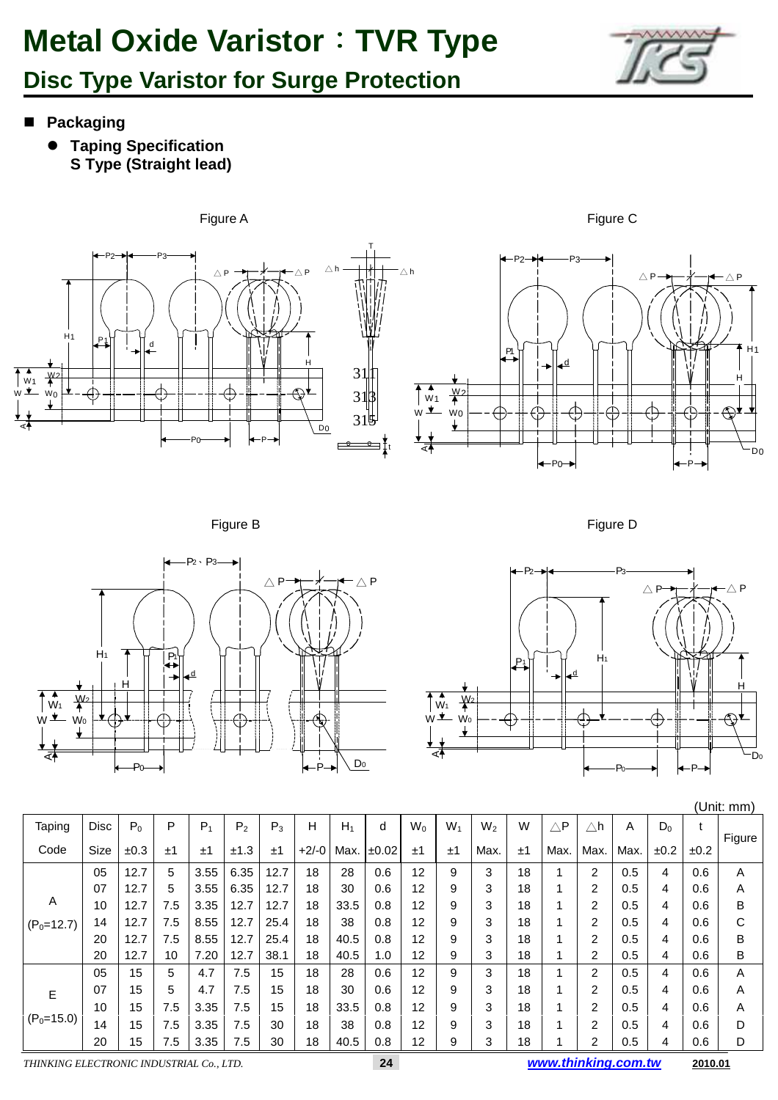

- **Packaging**
	- $\bullet$  **Taping Specification S Type (Straight lead)**



Figure B



Figure D



(Unit: mm)

| Taping       | Disc | $P_0$ | P   | $P_1$ | P <sub>2</sub> | $P_3$ | н       | $H_1$ | d     | $W_0$ | $W_1$ | $W_2$ | W  | $\triangle$ P | ∆h             | A    | $D_0$ |      |        |
|--------------|------|-------|-----|-------|----------------|-------|---------|-------|-------|-------|-------|-------|----|---------------|----------------|------|-------|------|--------|
| Code         | Size | ±0.3  | ±1  | ±1    | ±1.3           | ±1    | $+2/-0$ | Max.  | ±0.02 | ±1    | ±1    | Max.  | ±1 | Max.          | Max.           | Max. | ±0.2  | ±0.2 | Figure |
|              | 05   | 12.7  | 5   | 3.55  | 6.35           | 12.7  | 18      | 28    | 0.6   | 12    | 9     | 3     | 18 |               | 2              | 0.5  | 4     | 0.6  | A      |
|              | 07   | 12.7  | 5   | 3.55  | 6.35           | 12.7  | 18      | 30    | 0.6   | 12    | 9     | 3     | 18 |               | $\overline{2}$ | 0.5  | 4     | 0.6  | Α      |
| A            | 10   | 12.7  | 7.5 | 3.35  | 12.7           | 12.7  | 18      | 33.5  | 0.8   | 12    | 9     | 3     | 18 |               | $\overline{2}$ | 0.5  | 4     | 0.6  | B      |
| $(P0=12.7)$  | 14   | 12.7  | 7.5 | 8.55  | 12.7           | 25.4  | 18      | 38    | 0.8   | 12    | 9     | 3     | 18 |               | 2              | 0.5  | 4     | 0.6  |        |
|              | 20   | 12.7  | 7.5 | 8.55  | 12.7           | 25.4  | 18      | 40.5  | 0.8   | 12    | 9     | 3     | 18 |               | $\overline{2}$ | 0.5  | 4     | 0.6  | B      |
|              | 20   | 12.7  | 10  | 7.20  | 12.7           | 38.1  | 18      | 40.5  | 1.0   | 12    | 9     | 3     | 18 |               | $\overline{2}$ | 0.5  | 4     | 0.6  | B      |
|              | 05   | 15    | 5   | 4.7   | 7.5            | 15    | 18      | 28    | 0.6   | 12    | 9     | 3     | 18 |               | $\overline{2}$ | 0.5  | 4     | 0.6  | A      |
| Е            | 07   | 15    | 5   | 4.7   | 7.5            | 15    | 18      | 30    | 0.6   | 12    | 9     | 3     | 18 |               | $\overline{2}$ | 0.5  | 4     | 0.6  | Α      |
|              | 10   | 15    | 7.5 | 3.35  | 7.5            | 15    | 18      | 33.5  | 0.8   | 12    | 9     | 3     | 18 |               | 2              | 0.5  | 4     | 0.6  | Α      |
| $(P_0=15.0)$ | 14   | 15    | 7.5 | 3.35  | 7.5            | 30    | 18      | 38    | 0.8   | 12    | 9     | 3     | 18 |               | $\overline{2}$ | 0.5  | 4     | 0.6  | D      |
|              | 20   | 15    | 7.5 | 3.35  | 7.5            | 30    | 18      | 40.5  | 0.8   | 12    | 9     | 3     | 18 |               | $\overline{2}$ | 0.5  | 4     | 0.6  | D      |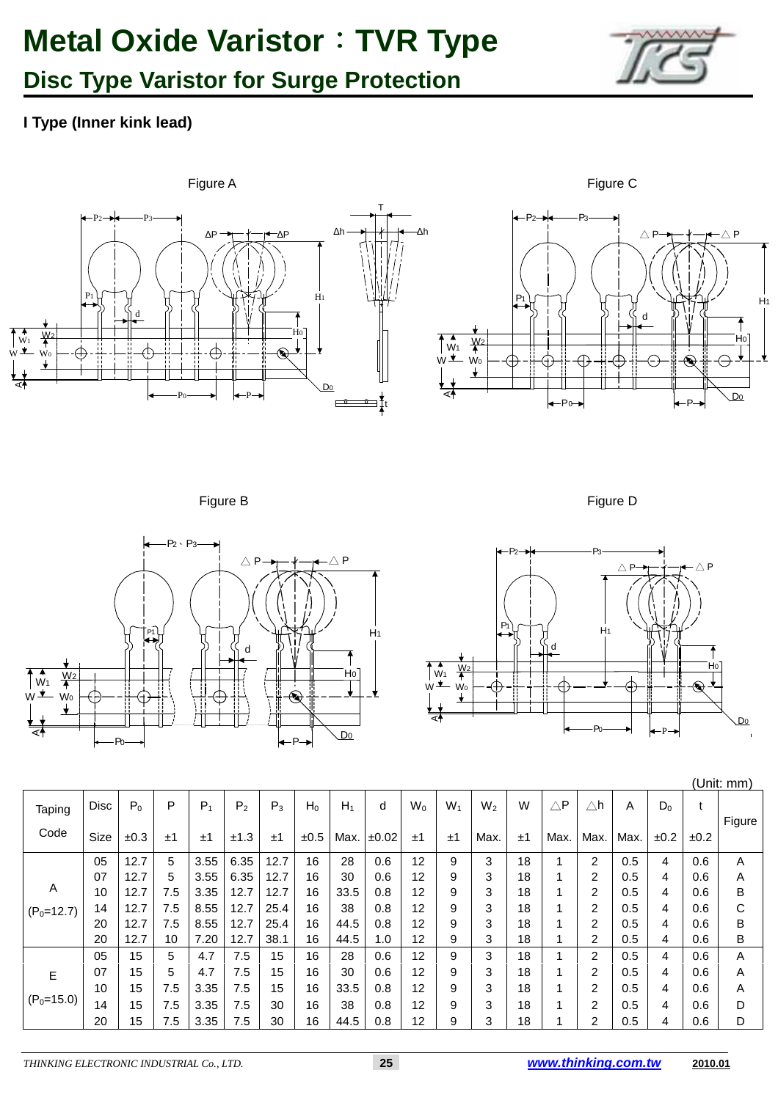

### **I Type (Inner kink lead)**



#### Figure B



Figure D



|             |             |       |     |       |                |       |       |       |       |       |       |       |    |               |                |      |       |      | (Unit: mm) |
|-------------|-------------|-------|-----|-------|----------------|-------|-------|-------|-------|-------|-------|-------|----|---------------|----------------|------|-------|------|------------|
| Taping      | <b>Disc</b> | $P_0$ | P   | $P_1$ | P <sub>2</sub> | $P_3$ | $H_0$ | $H_1$ | d     | $W_0$ | $W_1$ | $W_2$ | W  | $\triangle$ P | $\triangle$ h  | Α    | $D_0$ |      | Figure     |
| Code        | Size        | ±0.3  | ±1  | ±1    | ±1.3           | ±1    | ±0.5  | Max.  | ±0.02 | ±1    | ±1    | Max.  | ±1 | Max.          | Max.           | Max. | ±0.2  | ±0.2 |            |
|             | 05          | 12.7  | 5   | 3.55  | 6.35           | 12.7  | 16    | 28    | 0.6   | 12    | 9     | 3     | 18 |               | 2              | 0.5  | 4     | 0.6  | A          |
|             | 07          | 12.7  | 5   | 3.55  | 6.35           | 12.7  | 16    | 30    | 0.6   | 12    | 9     | 3     | 18 |               | 2              | 0.5  | 4     | 0.6  | Α          |
| Α           | 10          | 12.7  | 7.5 | 3.35  | 12.7           | 12.7  | 16    | 33.5  | 0.8   | 12    | 9     | 3     | 18 |               | 2              | 0.5  | 4     | 0.6  | B          |
| $(P0=12.7)$ | 14          | 12.7  | 7.5 | 8.55  | 12.7           | 25.4  | 16    | 38    | 0.8   | 12    | 9     | 3     | 18 |               | 2              | 0.5  | 4     | 0.6  | С          |
|             | 20          | 12.7  | 7.5 | 8.55  | 12.7           | 25.4  | 16    | 44.5  | 0.8   | 12    | 9     | 3     | 18 |               | 2              | 0.5  | 4     | 0.6  | B          |
|             | 20          | 12.7  | 10  | 7.20  | 12.7           | 38.1  | 16    | 44.5  | 1.0   | 12    | 9     | 3     | 18 |               | $\overline{2}$ | 0.5  | 4     | 0.6  | B          |
|             | 05          | 15    | 5   | 4.7   | 7.5            | 15    | 16    | 28    | 0.6   | 12    | 9     | 3     | 18 |               | 2              | 0.5  | 4     | 0.6  | A          |
| E           | 07          | 15    | 5   | 4.7   | 7.5            | 15    | 16    | 30    | 0.6   | 12    | 9     | 3     | 18 |               | 2              | 0.5  | 4     | 0.6  | A          |
|             | 10          | 15    | 7.5 | 3.35  | 7.5            | 15    | 16    | 33.5  | 0.8   | 12    | 9     | 3     | 18 |               | $\overline{2}$ | 0.5  | 4     | 0.6  | Α          |
| $(P0=15.0)$ | 14          | 15    | 7.5 | 3.35  | 7.5            | 30    | 16    | 38    | 0.8   | 12    | 9     | 3     | 18 |               | $\overline{2}$ | 0.5  | 4     | 0.6  | D          |
|             | 20          | 15    | 7.5 | 3.35  | 7.5            | 30    | 16    | 44.5  | 0.8   | 12    | 9     | 3     | 18 |               | $\overline{2}$ | 0.5  | 4     | 0.6  | D          |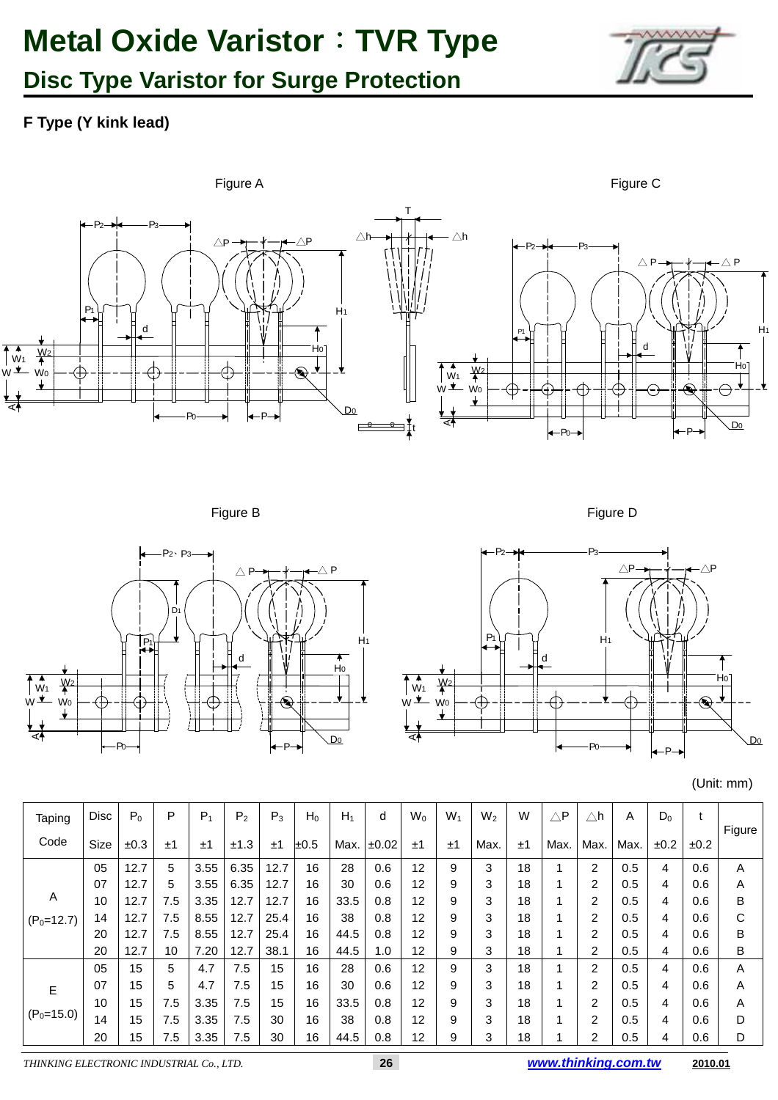**Disc Type Varistor for Surge Protection** 



### **F Type (Y kink lead)**



#### Figure B

Figure D





|  | (Unit: mm) |
|--|------------|
|  |            |

| Taping      | <b>Disc</b> | $P_0$ | P   | $P_1$ | P <sub>2</sub> | $P_3$ | $H_0$ | $H_1$ | d     | $W_0$ | $W_1$ | $W_2$ | W  | $\triangle$ P | $\triangle$ h  | A    | $D_0$ |      |        |
|-------------|-------------|-------|-----|-------|----------------|-------|-------|-------|-------|-------|-------|-------|----|---------------|----------------|------|-------|------|--------|
| Code        | <b>Size</b> | ±0.3  | ±1  | ±1    | ±1.3           | ±1    | ±0.5  | Max.  | ±0.02 | ±1    | ±1    | Max.  | ±1 | Max.          | Max.           | Max. | ±0.2  | ±0.2 | Figure |
|             | 05          | 12.7  | 5   | 3.55  | 6.35           | 12.7  | 16    | 28    | 0.6   | 12    | 9     | 3     | 18 |               | $\overline{2}$ | 0.5  | 4     | 0.6  | A      |
|             | 07          | 12.7  | 5   | 3.55  | 6.35           | 12.7  | 16    | 30    | 0.6   | 12    | 9     | 3     | 18 |               | $\overline{2}$ | 0.5  | 4     | 0.6  | A      |
| Α           | 10          | 12.7  | 7.5 | 3.35  | 12.7           | 12.7  | 16    | 33.5  | 0.8   | 12    | 9     | 3     | 18 |               | $\overline{2}$ | 0.5  | 4     | 0.6  | B      |
| $(P0=12.7)$ | 14          | 12.7  | 7.5 | 8.55  | 12.7           | 25.4  | 16    | 38    | 0.8   | 12    | 9     | 3     | 18 |               | $\overline{2}$ | 0.5  | 4     | 0.6  | C      |
|             | 20          | 12.7  | 7.5 | 8.55  | 12.7           | 25.4  | 16    | 44.5  | 0.8   | 12    | 9     | 3     | 18 |               | 2              | 0.5  | 4     | 0.6  | B      |
|             | 20          | 12.7  | 10  | 7.20  | 12.7           | 38.1  | 16    | 44.5  | 1.0   | 12    | 9     | 3     | 18 |               | 2              | 0.5  | 4     | 0.6  | B      |
|             | 05          | 15    | 5   | 4.7   | 7.5            | 15    | 16    | 28    | 0.6   | 12    | 9     | 3     | 18 |               | $\overline{2}$ | 0.5  | 4     | 0.6  | A      |
| E           | 07          | 15    | 5   | 4.7   | 7.5            | 15    | 16    | 30    | 0.6   | 12    | 9     | 3     | 18 |               | 2              | 0.5  | 4     | 0.6  | A      |
|             | 10          | 15    | 7.5 | 3.35  | 7.5            | 15    | 16    | 33.5  | 0.8   | 12    | 9     | 3     | 18 |               | $\overline{2}$ | 0.5  | 4     | 0.6  | A      |
| $(P0=15.0)$ | 14          | 15    | 7.5 | 3.35  | 7.5            | 30    | 16    | 38    | 0.8   | 12    | 9     | 3     | 18 |               | 2              | 0.5  | 4     | 0.6  | D      |
|             | 20          | 15    | 7.5 | 3.35  | 7.5            | 30    | 16    | 44.5  | 0.8   | 12    | 9     | 3     | 18 |               | $\overline{2}$ | 0.5  | 4     | 0.6  | D      |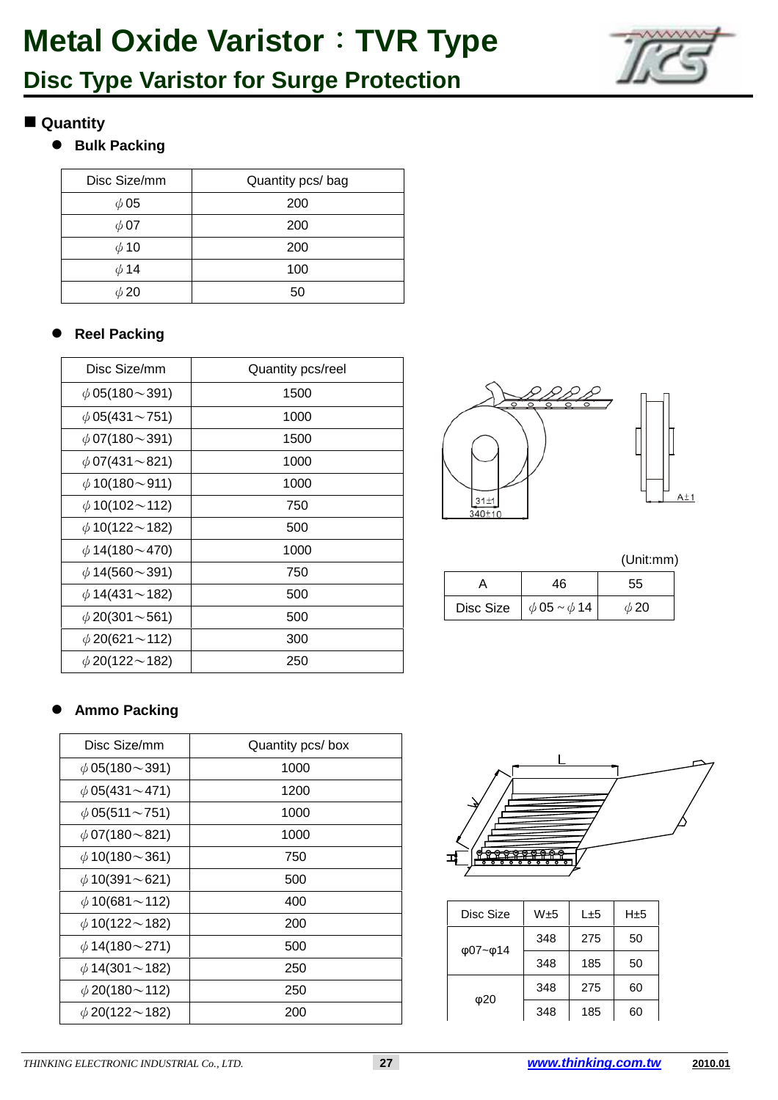

#### **Quantity**

#### $\bullet$  Bulk Packing

| Disc Size/mm | Quantity pcs/bag |
|--------------|------------------|
| $\phi$ 05    | 200              |
| $\phi$ 07    | 200              |
| $\phi$ 10    | 200              |
| $\phi$ 14    | 100              |
| $\phi$ 20    | 50               |

#### $\bullet$ **Reel Packing**

| Disc Size/mm              | Quantity pcs/reel |
|---------------------------|-------------------|
| $\phi$ 05(180 $\sim$ 391) | 1500              |
| $\phi$ 05(431 ~ 751)      | 1000              |
| $\phi$ 07(180 ~ 391)      | 1500              |
| $\phi$ 07(431 ~ 821)      | 1000              |
| $\phi$ 10(180 ~ 911)      | 1000              |
| $\phi$ 10(102 ~ 112)      | 750               |
| $\phi$ 10(122 ~ 182)      | 500               |
| $\phi$ 14(180 ~ 470)      | 1000              |
| $\phi$ 14(560 ~ 391)      | 750               |
| $\phi$ 14(431 ~ 182)      | 500               |
| $\phi$ 20(301 ~ 561)      | 500               |
| $\phi$ 20(621 ~ 112)      | 300               |
| $\phi$ 20(122 ~ 182)      | 250               |



(Unit:mm)

|           | 46                    | 55        |
|-----------|-----------------------|-----------|
| Disc Size | $\phi$ 05 ~ $\phi$ 14 | $\phi$ 20 |

#### $\bullet$ **Ammo Packing**

| Disc Size/mm         | Quantity pcs/box |
|----------------------|------------------|
| $\phi$ 05(180 ~ 391) | 1000             |
| $\phi$ 05(431 ~ 471) | 1200             |
| $\phi$ 05(511 ~ 751) | 1000             |
| $\phi$ 07(180 ~ 821) | 1000             |
| $\phi$ 10(180 ~ 361) | 750              |
| $\phi$ 10(391 ~ 621) | 500              |
| $\phi$ 10(681 ~ 112) | 400              |
| $\phi$ 10(122 ~ 182) | 200              |
| $\phi$ 14(180 ~ 271) | 500              |
| $\phi$ 14(301 ~ 182) | 250              |
| $\phi$ 20(180 ~ 112) | 250              |
| $\phi$ 20(122 ~ 182) | 200              |



| Disc Size            | W±5 | H±5 |    |
|----------------------|-----|-----|----|
|                      | 348 | 275 | 50 |
| $\phi$ 07~ $\phi$ 14 | 348 | 185 | 50 |
|                      | 348 | 275 | 60 |
| $\phi$ 20            | 348 | 185 | 60 |